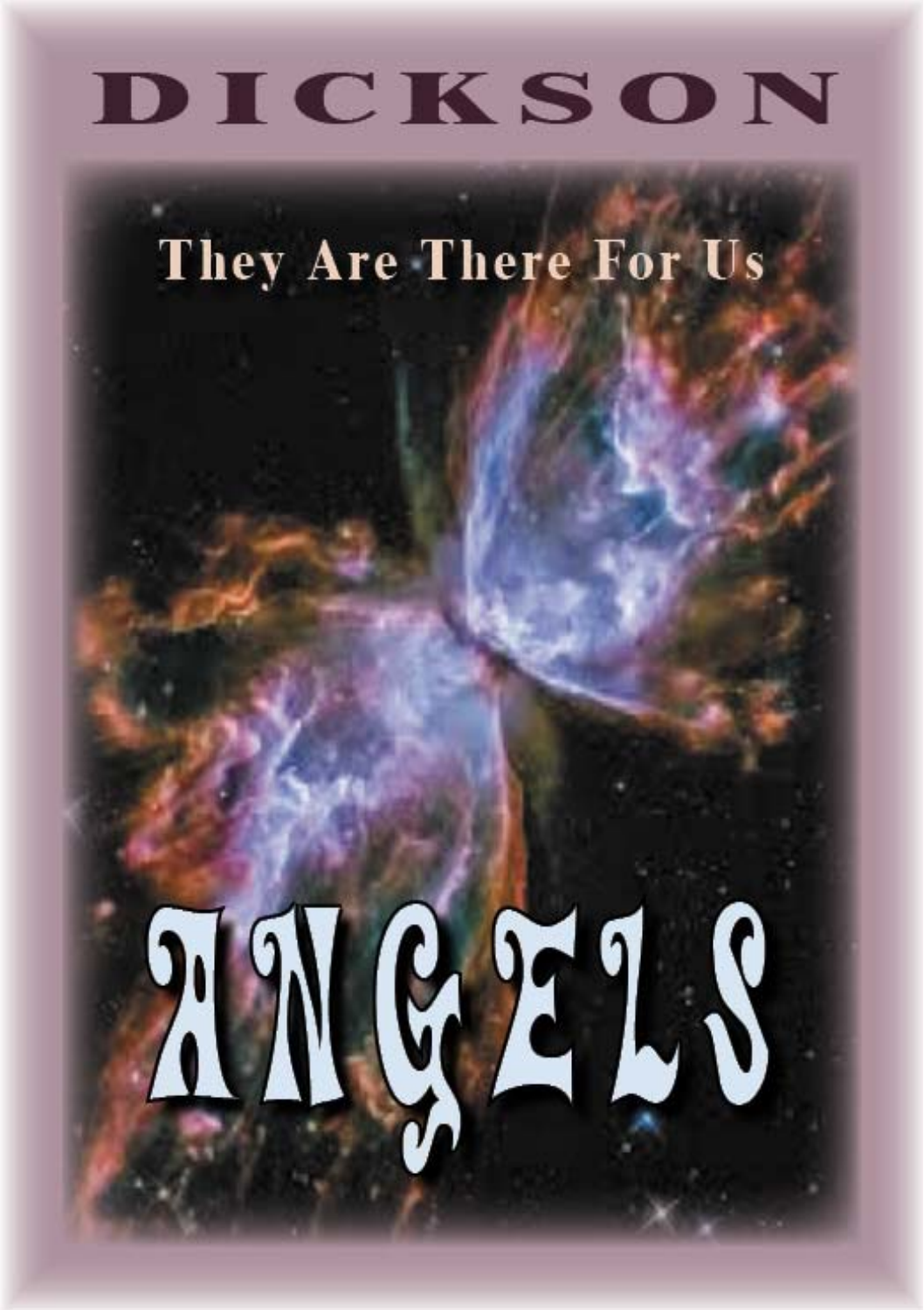# DICKSON

They Are There For Us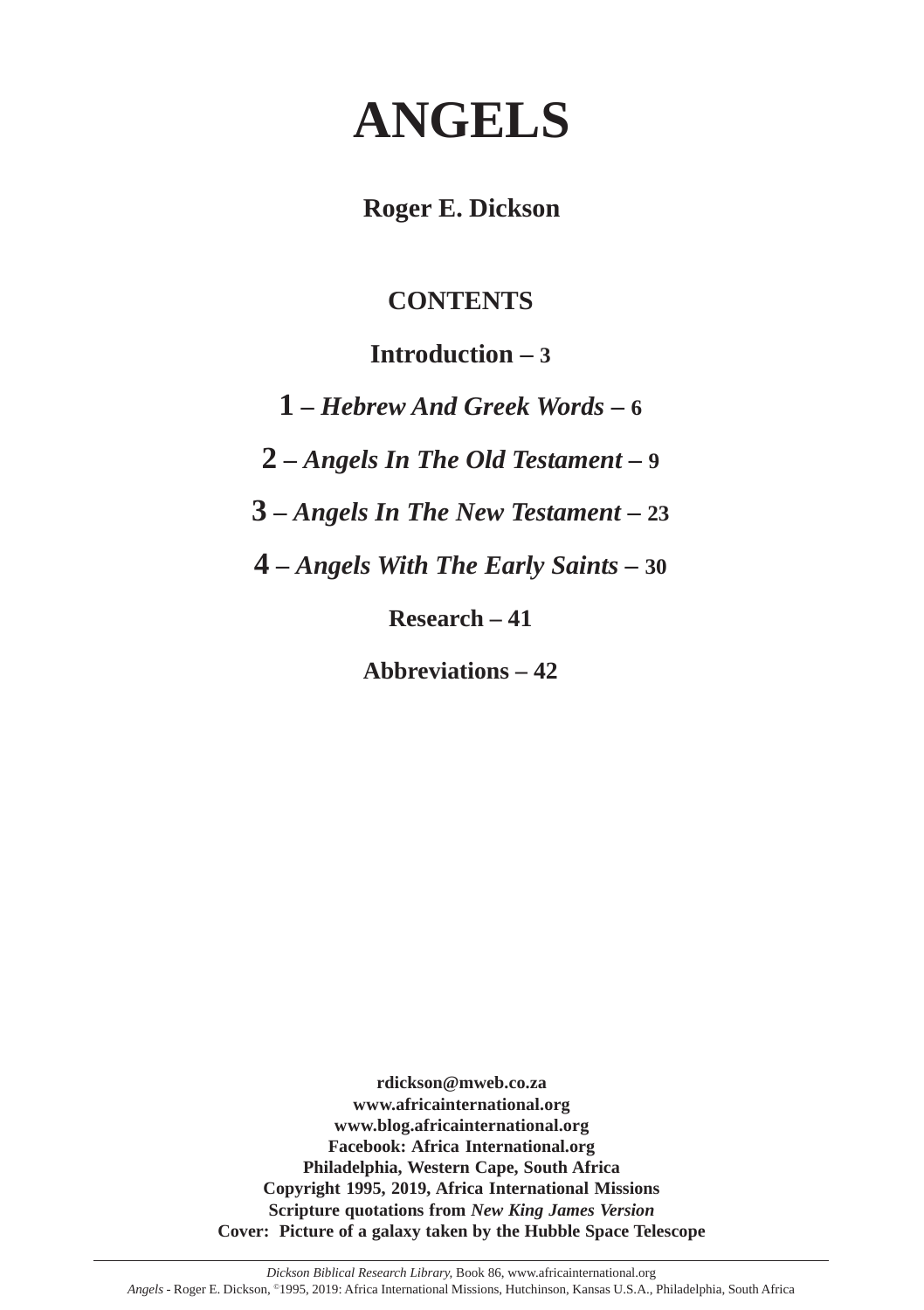# **ANGELS**

**Roger E. Dickson**

# **CONTENTS**

# **Introduction – 3**

**1 –** *Hebrew And Greek Words* **– 6**

**2 –** *Angels In The Old Testament* **– 9**

**3 –** *Angels In The New Testament* **– 23**

**4 –** *Angels With The Early Saints* **– 30**

**Research – 41**

**Abbreviations – 42**

**rdickson@mweb.co.za www.africainternational.org www.blog.africainternational.org Facebook: Africa International.org Philadelphia, Western Cape, South Africa Copyright 1995, 2019, Africa International Missions Scripture quotations from** *New King James Version* **Cover: Picture of a galaxy taken by the Hubble Space Telescope**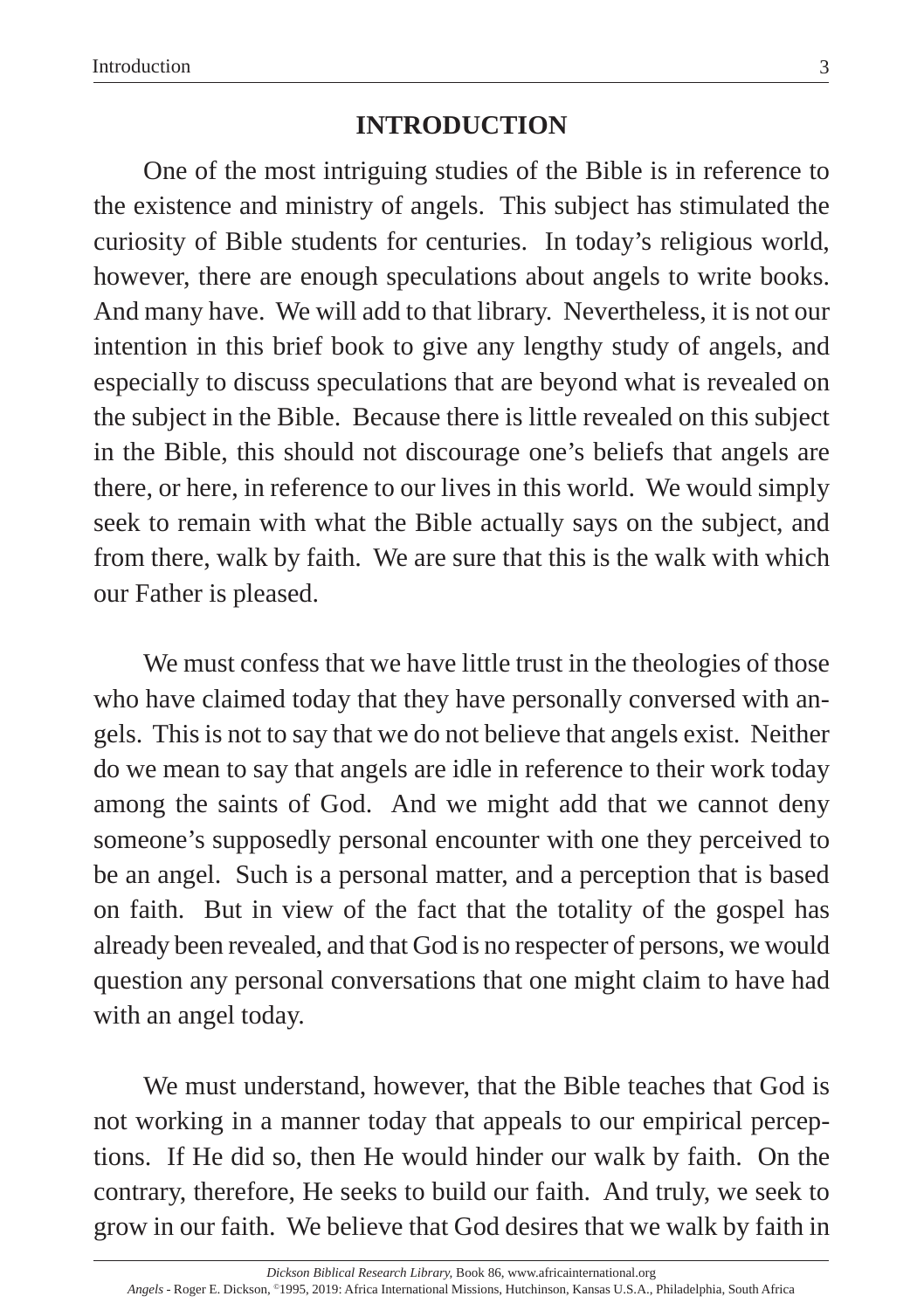# **INTRODUCTION**

One of the most intriguing studies of the Bible is in reference to the existence and ministry of angels. This subject has stimulated the curiosity of Bible students for centuries. In today's religious world, however, there are enough speculations about angels to write books. And many have. We will add to that library. Nevertheless, it is not our intention in this brief book to give any lengthy study of angels, and especially to discuss speculations that are beyond what is revealed on the subject in the Bible. Because there is little revealed on this subject in the Bible, this should not discourage one's beliefs that angels are there, or here, in reference to our lives in this world. We would simply seek to remain with what the Bible actually says on the subject, and from there, walk by faith. We are sure that this is the walk with which our Father is pleased.

We must confess that we have little trust in the theologies of those who have claimed today that they have personally conversed with angels. This is not to say that we do not believe that angels exist. Neither do we mean to say that angels are idle in reference to their work today among the saints of God. And we might add that we cannot deny someone's supposedly personal encounter with one they perceived to be an angel. Such is a personal matter, and a perception that is based on faith. But in view of the fact that the totality of the gospel has already been revealed, and that God is no respecter of persons, we would question any personal conversations that one might claim to have had with an angel today.

We must understand, however, that the Bible teaches that God is not working in a manner today that appeals to our empirical perceptions. If He did so, then He would hinder our walk by faith. On the contrary, therefore, He seeks to build our faith. And truly, we seek to grow in our faith. We believe that God desires that we walk by faith in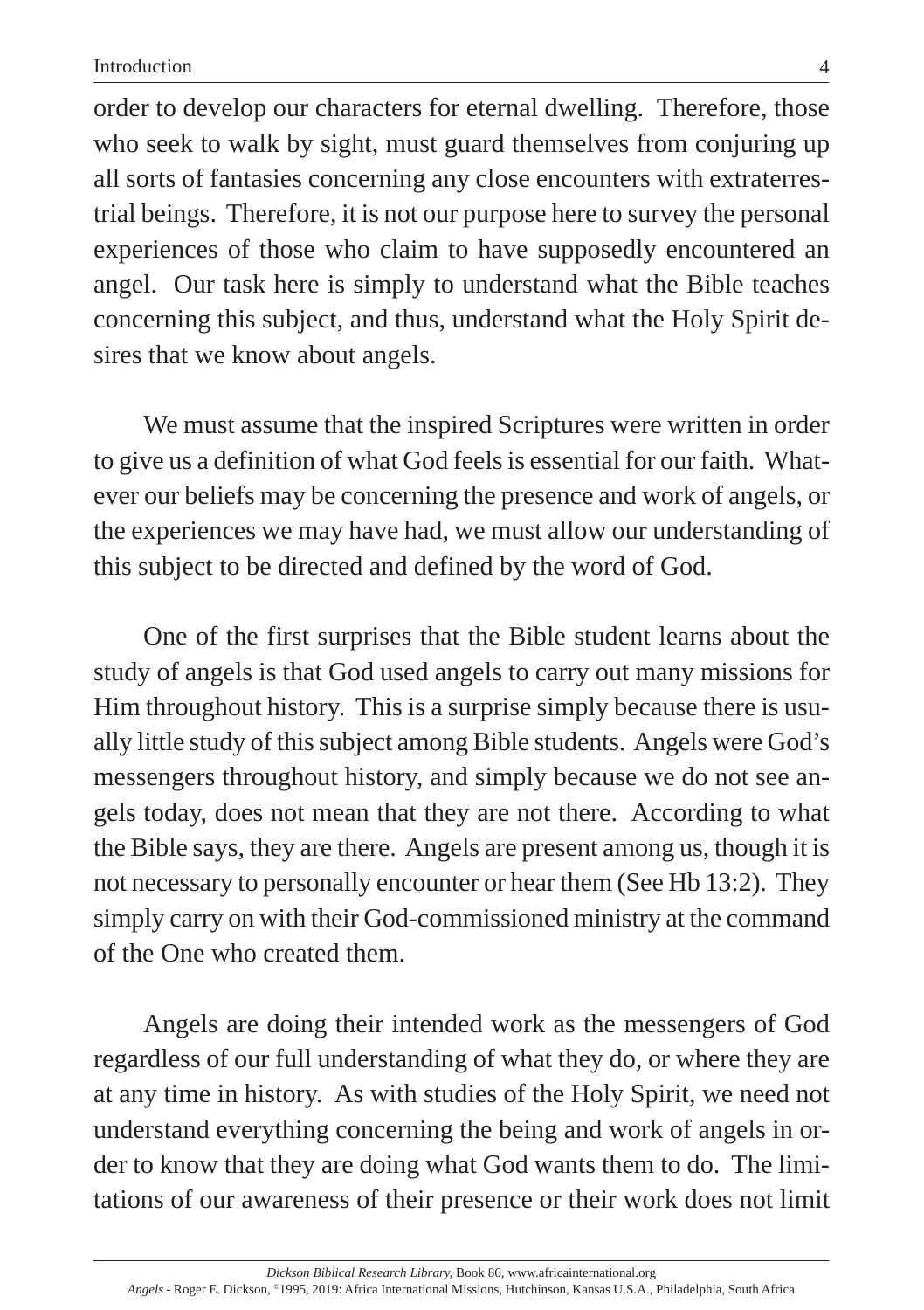order to develop our characters for eternal dwelling. Therefore, those who seek to walk by sight, must guard themselves from conjuring up all sorts of fantasies concerning any close encounters with extraterrestrial beings. Therefore, it is not our purpose here to survey the personal experiences of those who claim to have supposedly encountered an angel. Our task here is simply to understand what the Bible teaches concerning this subject, and thus, understand what the Holy Spirit desires that we know about angels.

We must assume that the inspired Scriptures were written in order to give us a definition of what God feels is essential for our faith. Whatever our beliefs may be concerning the presence and work of angels, or the experiences we may have had, we must allow our understanding of this subject to be directed and defined by the word of God.

One of the first surprises that the Bible student learns about the study of angels is that God used angels to carry out many missions for Him throughout history. This is a surprise simply because there is usually little study of this subject among Bible students. Angels were God's messengers throughout history, and simply because we do not see angels today, does not mean that they are not there. According to what the Bible says, they are there. Angels are present among us, though it is not necessary to personally encounter or hear them (See Hb 13:2). They simply carry on with their God-commissioned ministry at the command of the One who created them.

Angels are doing their intended work as the messengers of God regardless of our full understanding of what they do, or where they are at any time in history. As with studies of the Holy Spirit, we need not understand everything concerning the being and work of angels in order to know that they are doing what God wants them to do. The limitations of our awareness of their presence or their work does not limit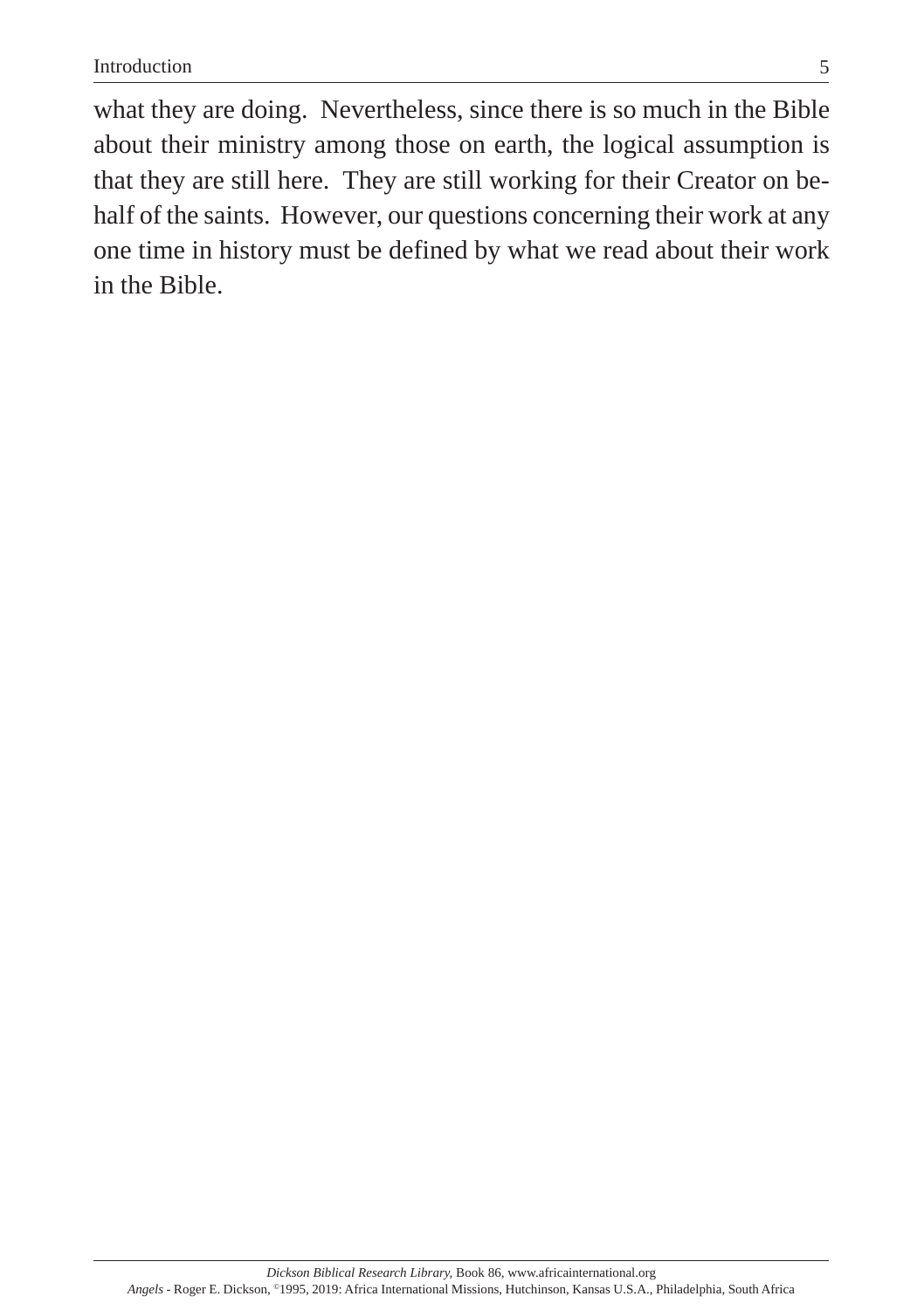what they are doing. Nevertheless, since there is so much in the Bible about their ministry among those on earth, the logical assumption is that they are still here. They are still working for their Creator on behalf of the saints. However, our questions concerning their work at any one time in history must be defined by what we read about their work in the Bible.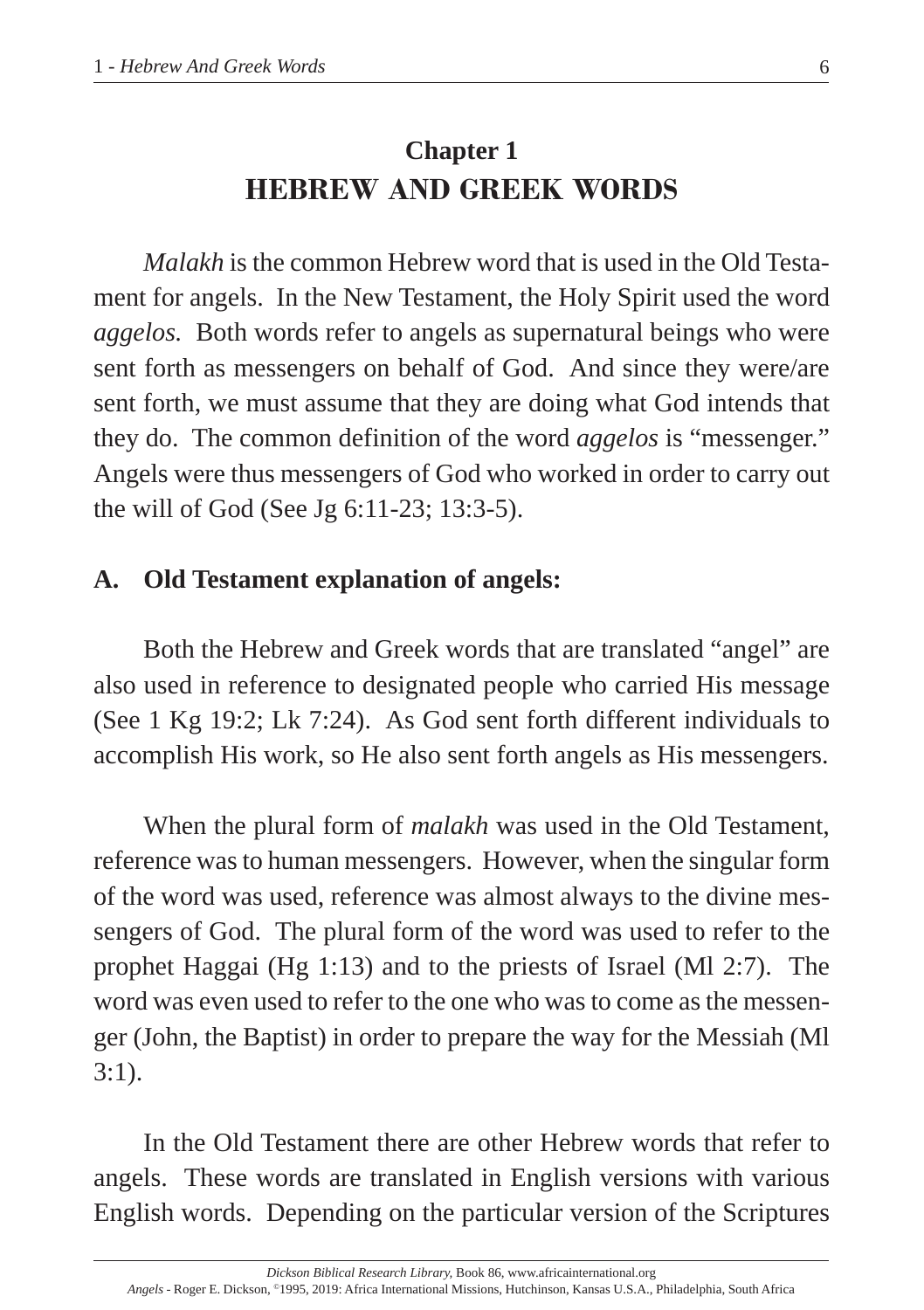# **Chapter 1 HEBREW AND GREEK WORDS**

*Malakh* is the common Hebrew word that is used in the Old Testament for angels. In the New Testament, the Holy Spirit used the word *aggelos.* Both words refer to angels as supernatural beings who were sent forth as messengers on behalf of God. And since they were/are sent forth, we must assume that they are doing what God intends that they do. The common definition of the word *aggelos* is "messenger." Angels were thus messengers of God who worked in order to carry out the will of God (See Jg 6:11-23; 13:3-5).

# **A. Old Testament explanation of angels:**

Both the Hebrew and Greek words that are translated "angel" are also used in reference to designated people who carried His message (See 1 Kg 19:2; Lk 7:24). As God sent forth different individuals to accomplish His work, so He also sent forth angels as His messengers.

When the plural form of *malakh* was used in the Old Testament, reference was to human messengers. However, when the singular form of the word was used, reference was almost always to the divine messengers of God. The plural form of the word was used to refer to the prophet Haggai (Hg 1:13) and to the priests of Israel (Ml 2:7). The word was even used to refer to the one who was to come as the messenger (John, the Baptist) in order to prepare the way for the Messiah (Ml 3:1).

In the Old Testament there are other Hebrew words that refer to angels. These words are translated in English versions with various English words. Depending on the particular version of the Scriptures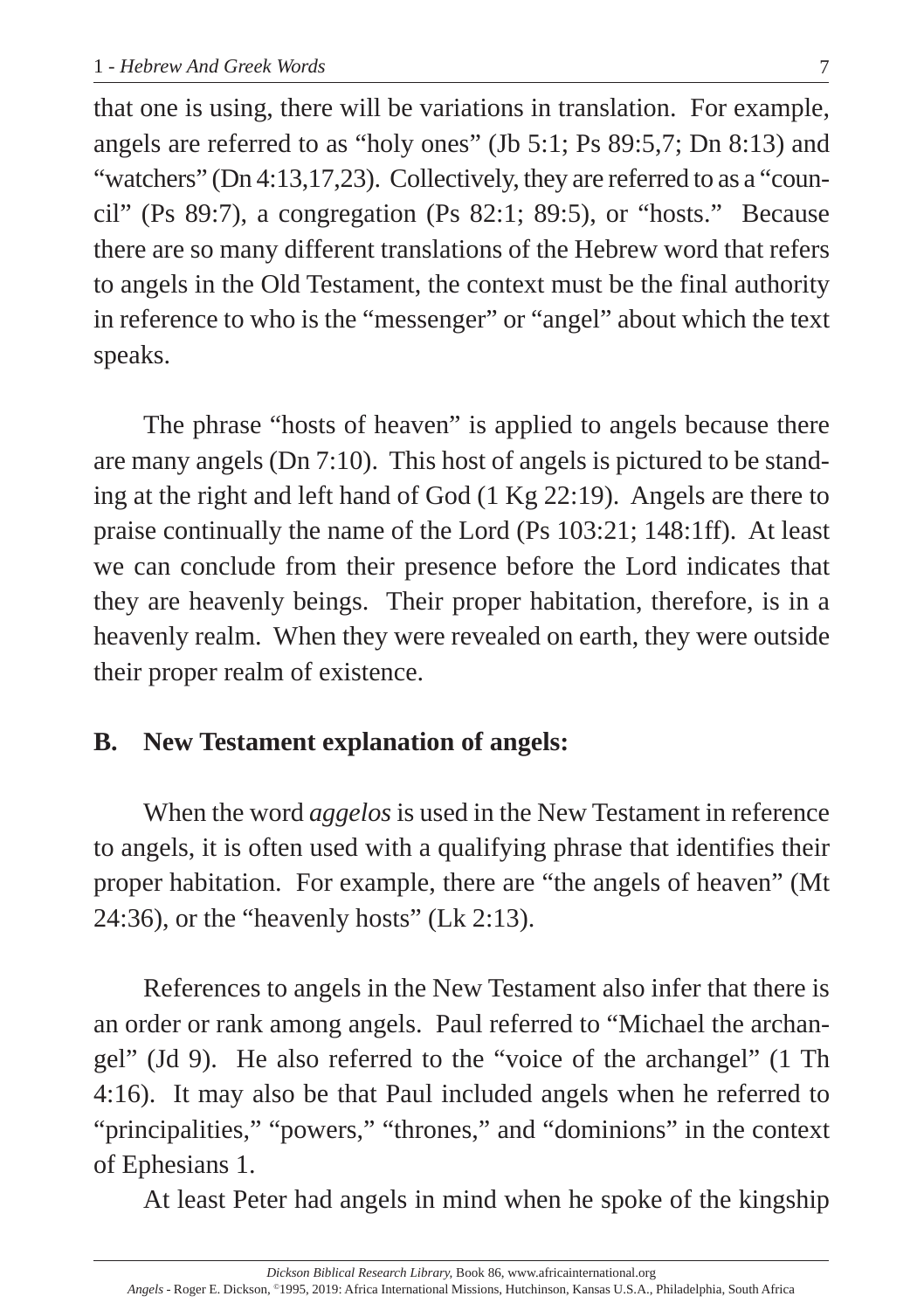that one is using, there will be variations in translation. For example, angels are referred to as "holy ones" (Jb 5:1; Ps 89:5,7; Dn 8:13) and "watchers" (Dn 4:13,17,23). Collectively, they are referred to as a "council" (Ps 89:7), a congregation (Ps 82:1; 89:5), or "hosts." Because there are so many different translations of the Hebrew word that refers to angels in the Old Testament, the context must be the final authority in reference to who is the "messenger" or "angel" about which the text speaks.

The phrase "hosts of heaven" is applied to angels because there are many angels (Dn 7:10). This host of angels is pictured to be standing at the right and left hand of God (1 Kg 22:19). Angels are there to praise continually the name of the Lord (Ps 103:21; 148:1ff). At least we can conclude from their presence before the Lord indicates that they are heavenly beings. Their proper habitation, therefore, is in a heavenly realm. When they were revealed on earth, they were outside their proper realm of existence.

#### **B. New Testament explanation of angels:**

When the word *aggelos* is used in the New Testament in reference to angels, it is often used with a qualifying phrase that identifies their proper habitation. For example, there are "the angels of heaven" (Mt 24:36), or the "heavenly hosts" (Lk 2:13).

References to angels in the New Testament also infer that there is an order or rank among angels. Paul referred to "Michael the archangel" (Jd 9). He also referred to the "voice of the archangel" (1 Th 4:16). It may also be that Paul included angels when he referred to "principalities," "powers," "thrones," and "dominions" in the context of Ephesians 1.

At least Peter had angels in mind when he spoke of the kingship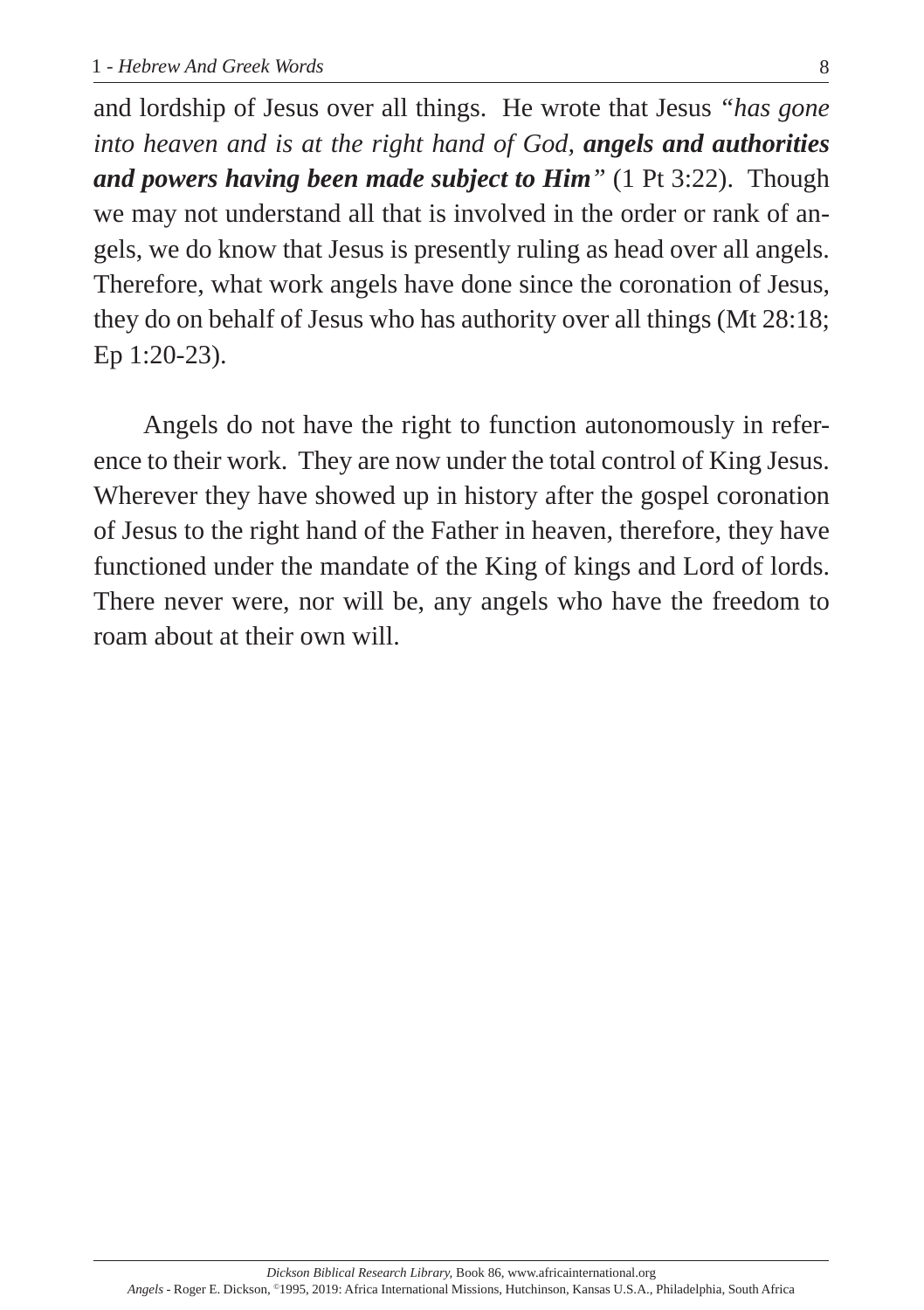and lordship of Jesus over all things. He wrote that Jesus *"has gone into heaven and is at the right hand of God, angels and authorities and powers having been made subject to Him"* (1 Pt 3:22). Though we may not understand all that is involved in the order or rank of angels, we do know that Jesus is presently ruling as head over all angels. Therefore, what work angels have done since the coronation of Jesus, they do on behalf of Jesus who has authority over all things (Mt 28:18; Ep 1:20-23).

Angels do not have the right to function autonomously in reference to their work. They are now under the total control of King Jesus. Wherever they have showed up in history after the gospel coronation of Jesus to the right hand of the Father in heaven, therefore, they have functioned under the mandate of the King of kings and Lord of lords. There never were, nor will be, any angels who have the freedom to roam about at their own will.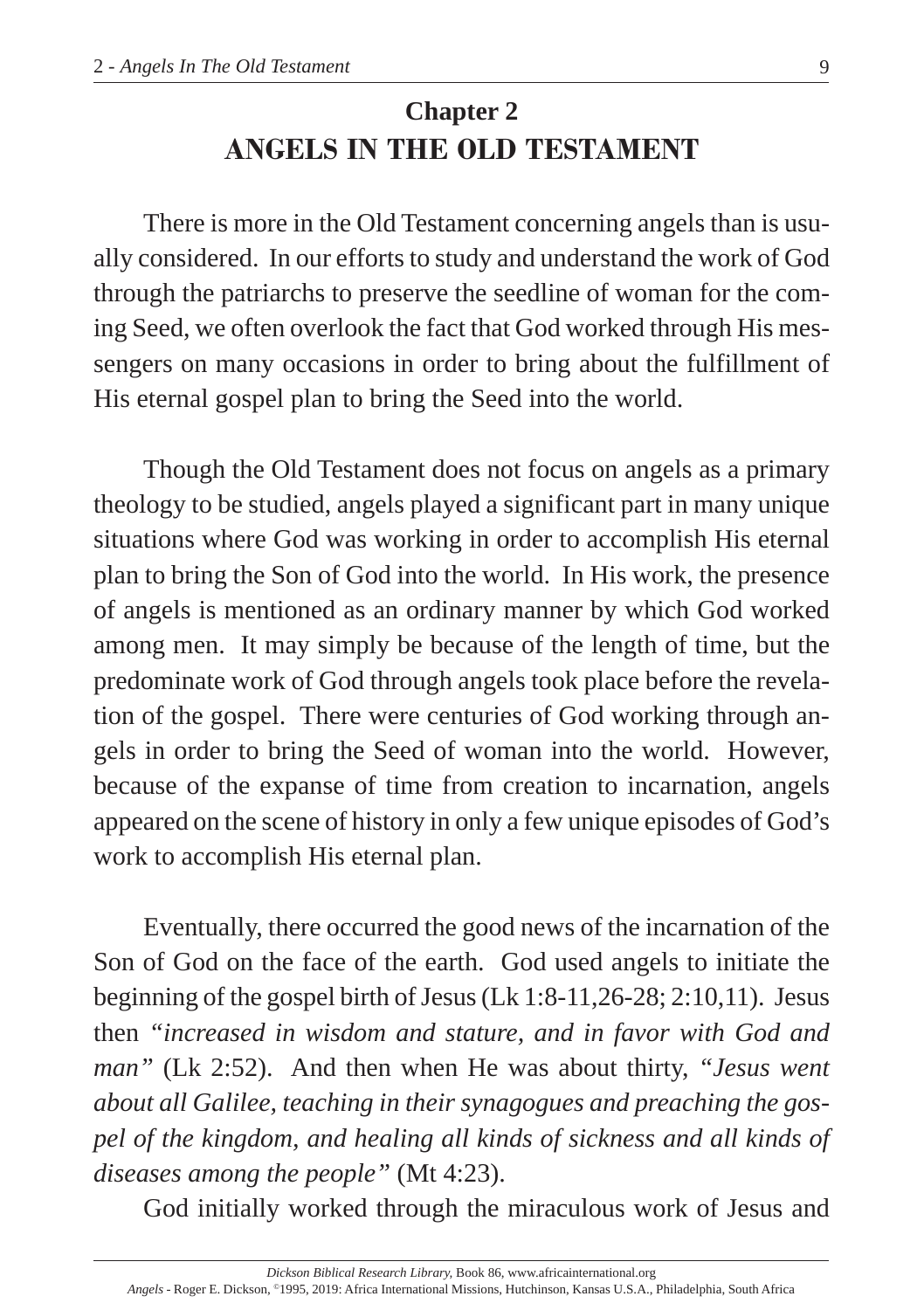# **Chapter 2 ANGELS IN THE OLD TESTAMENT**

There is more in the Old Testament concerning angels than is usually considered. In our efforts to study and understand the work of God through the patriarchs to preserve the seedline of woman for the coming Seed, we often overlook the fact that God worked through His messengers on many occasions in order to bring about the fulfillment of His eternal gospel plan to bring the Seed into the world.

Though the Old Testament does not focus on angels as a primary theology to be studied, angels played a significant part in many unique situations where God was working in order to accomplish His eternal plan to bring the Son of God into the world. In His work, the presence of angels is mentioned as an ordinary manner by which God worked among men. It may simply be because of the length of time, but the predominate work of God through angels took place before the revelation of the gospel. There were centuries of God working through angels in order to bring the Seed of woman into the world. However, because of the expanse of time from creation to incarnation, angels appeared on the scene of history in only a few unique episodes of God's work to accomplish His eternal plan.

Eventually, there occurred the good news of the incarnation of the Son of God on the face of the earth. God used angels to initiate the beginning of the gospel birth of Jesus (Lk 1:8-11,26-28; 2:10,11). Jesus then *"increased in wisdom and stature, and in favor with God and man"* (Lk 2:52). And then when He was about thirty, *"Jesus went about all Galilee, teaching in their synagogues and preaching the gospel of the kingdom, and healing all kinds of sickness and all kinds of diseases among the people"* (Mt 4:23).

God initially worked through the miraculous work of Jesus and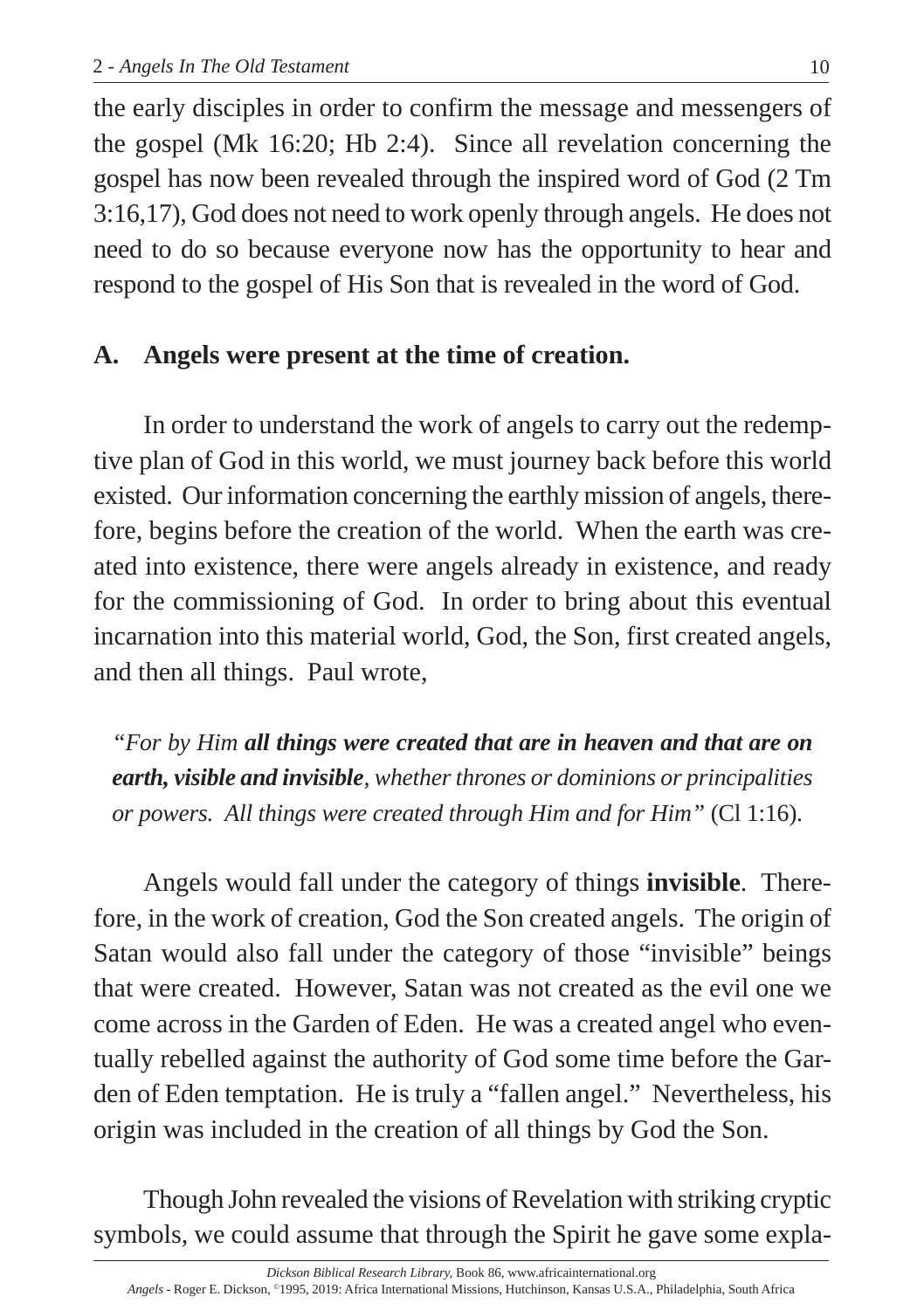the early disciples in order to confirm the message and messengers of the gospel (Mk 16:20; Hb 2:4). Since all revelation concerning the gospel has now been revealed through the inspired word of God (2 Tm 3:16,17), God does not need to work openly through angels. He does not need to do so because everyone now has the opportunity to hear and respond to the gospel of His Son that is revealed in the word of God.

# **A. Angels were present at the time of creation.**

In order to understand the work of angels to carry out the redemptive plan of God in this world, we must journey back before this world existed. Our information concerning the earthly mission of angels, therefore, begins before the creation of the world. When the earth was created into existence, there were angels already in existence, and ready for the commissioning of God. In order to bring about this eventual incarnation into this material world, God, the Son, first created angels, and then all things. Paul wrote,

*"For by Him all things were created that are in heaven and that are on earth, visible and invisible, whether thrones or dominions or principalities or powers. All things were created through Him and for Him"* (Cl 1:16).

Angels would fall under the category of things **invisible**. Therefore, in the work of creation, God the Son created angels. The origin of Satan would also fall under the category of those "invisible" beings that were created. However, Satan was not created as the evil one we come across in the Garden of Eden. He was a created angel who eventually rebelled against the authority of God some time before the Garden of Eden temptation. He is truly a "fallen angel." Nevertheless, his origin was included in the creation of all things by God the Son.

Though John revealed the visions of Revelation with striking cryptic symbols, we could assume that through the Spirit he gave some expla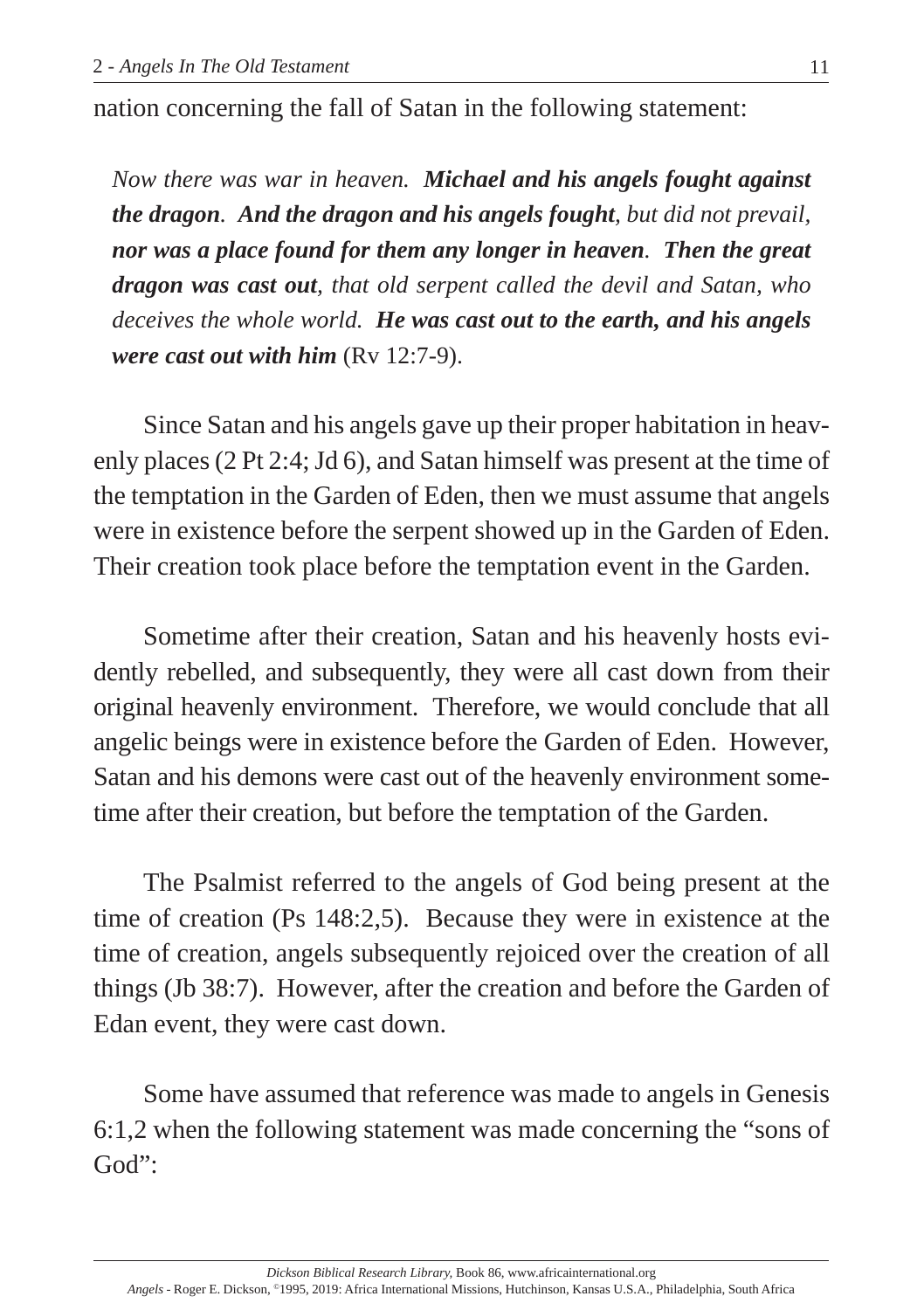nation concerning the fall of Satan in the following statement:

*Now there was war in heaven. Michael and his angels fought against the dragon. And the dragon and his angels fought, but did not prevail, nor was a place found for them any longer in heaven. Then the great dragon was cast out, that old serpent called the devil and Satan, who deceives the whole world. He was cast out to the earth, and his angels were cast out with him* (Rv 12:7-9).

Since Satan and his angels gave up their proper habitation in heavenly places (2 Pt 2:4; Jd 6), and Satan himself was present at the time of the temptation in the Garden of Eden, then we must assume that angels were in existence before the serpent showed up in the Garden of Eden. Their creation took place before the temptation event in the Garden.

Sometime after their creation, Satan and his heavenly hosts evidently rebelled, and subsequently, they were all cast down from their original heavenly environment. Therefore, we would conclude that all angelic beings were in existence before the Garden of Eden. However, Satan and his demons were cast out of the heavenly environment sometime after their creation, but before the temptation of the Garden.

The Psalmist referred to the angels of God being present at the time of creation (Ps 148:2,5). Because they were in existence at the time of creation, angels subsequently rejoiced over the creation of all things (Jb 38:7). However, after the creation and before the Garden of Edan event, they were cast down.

Some have assumed that reference was made to angels in Genesis 6:1,2 when the following statement was made concerning the "sons of God":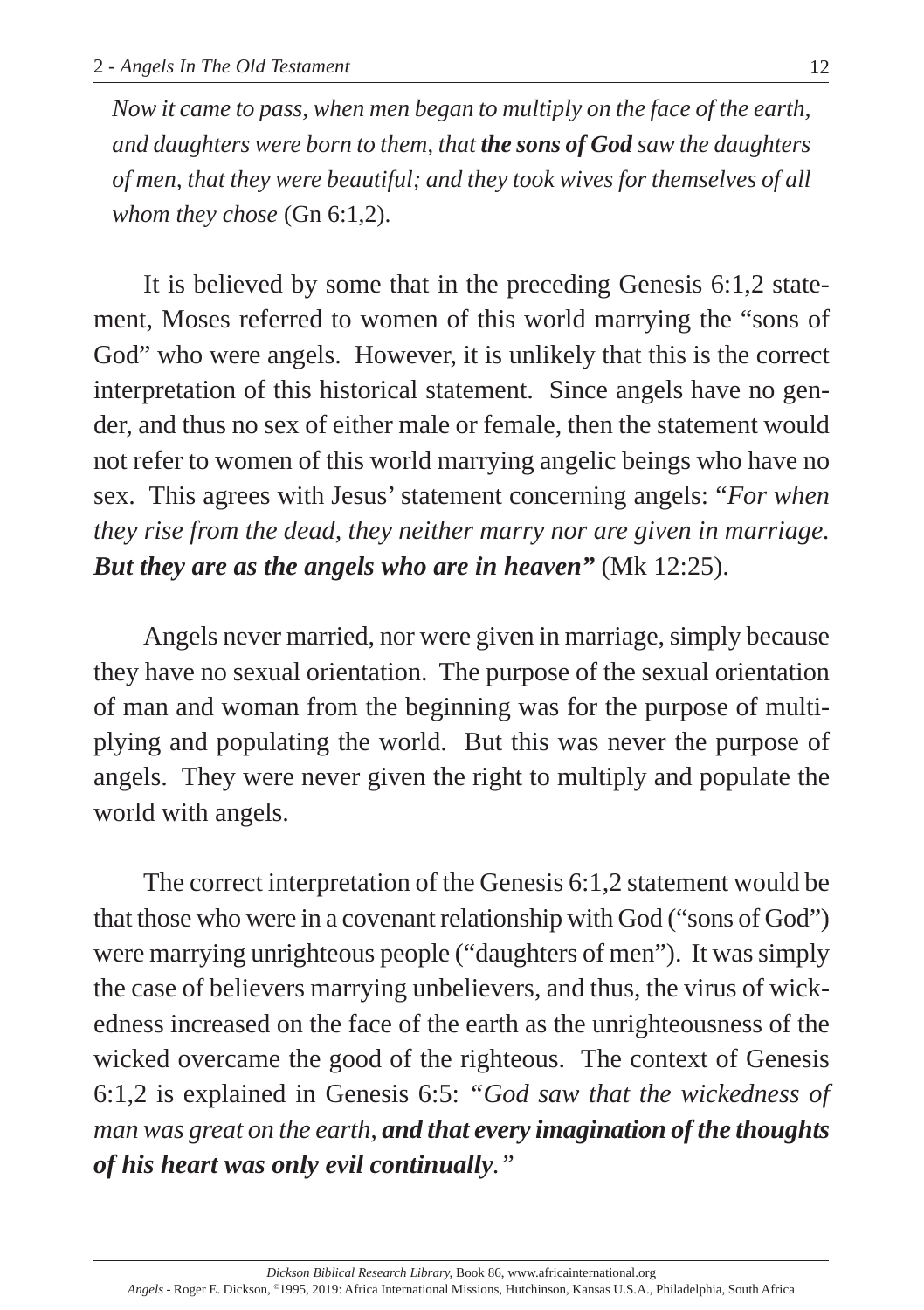*Now it came to pass, when men began to multiply on the face of the earth, and daughters were born to them, that the sons of God saw the daughters of men, that they were beautiful; and they took wives for themselves of all whom they chose* (Gn 6:1,2).

It is believed by some that in the preceding Genesis 6:1,2 statement, Moses referred to women of this world marrying the "sons of God" who were angels. However, it is unlikely that this is the correct interpretation of this historical statement. Since angels have no gender, and thus no sex of either male or female, then the statement would not refer to women of this world marrying angelic beings who have no sex. This agrees with Jesus' statement concerning angels: "*For when they rise from the dead, they neither marry nor are given in marriage. But they are as the angels who are in heaven"* (Mk 12:25).

Angels never married, nor were given in marriage, simply because they have no sexual orientation. The purpose of the sexual orientation of man and woman from the beginning was for the purpose of multiplying and populating the world. But this was never the purpose of angels. They were never given the right to multiply and populate the world with angels.

The correct interpretation of the Genesis 6:1,2 statement would be that those who were in a covenant relationship with God ("sons of God") were marrying unrighteous people ("daughters of men"). It was simply the case of believers marrying unbelievers, and thus, the virus of wickedness increased on the face of the earth as the unrighteousness of the wicked overcame the good of the righteous. The context of Genesis 6:1,2 is explained in Genesis 6:5: *"God saw that the wickedness of man was great on the earth, and that every imagination of the thoughts of his heart was only evil continually."*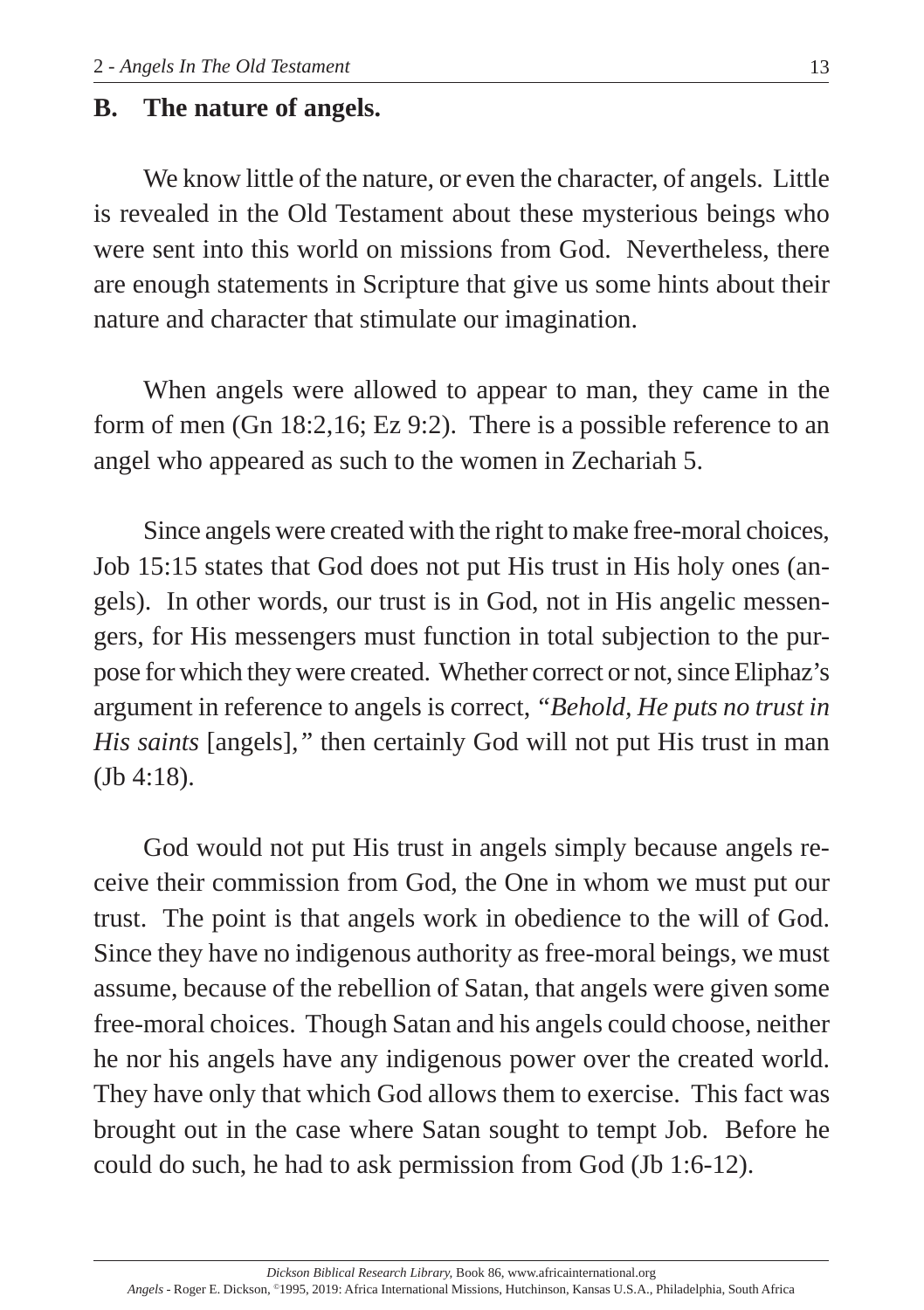# **B. The nature of angels.**

We know little of the nature, or even the character, of angels. Little is revealed in the Old Testament about these mysterious beings who were sent into this world on missions from God. Nevertheless, there are enough statements in Scripture that give us some hints about their nature and character that stimulate our imagination.

When angels were allowed to appear to man, they came in the form of men (Gn 18:2,16; Ez 9:2). There is a possible reference to an angel who appeared as such to the women in Zechariah 5.

Since angels were created with the right to make free-moral choices, Job 15:15 states that God does not put His trust in His holy ones (angels). In other words, our trust is in God, not in His angelic messengers, for His messengers must function in total subjection to the purpose for which they were created. Whether correct or not, since Eliphaz's argument in reference to angels is correct, *"Behold, He puts no trust in His saints* [angels]*,"* then certainly God will not put His trust in man (Jb 4:18).

God would not put His trust in angels simply because angels receive their commission from God, the One in whom we must put our trust. The point is that angels work in obedience to the will of God. Since they have no indigenous authority as free-moral beings, we must assume, because of the rebellion of Satan, that angels were given some free-moral choices. Though Satan and his angels could choose, neither he nor his angels have any indigenous power over the created world. They have only that which God allows them to exercise. This fact was brought out in the case where Satan sought to tempt Job. Before he could do such, he had to ask permission from God (Jb 1:6-12).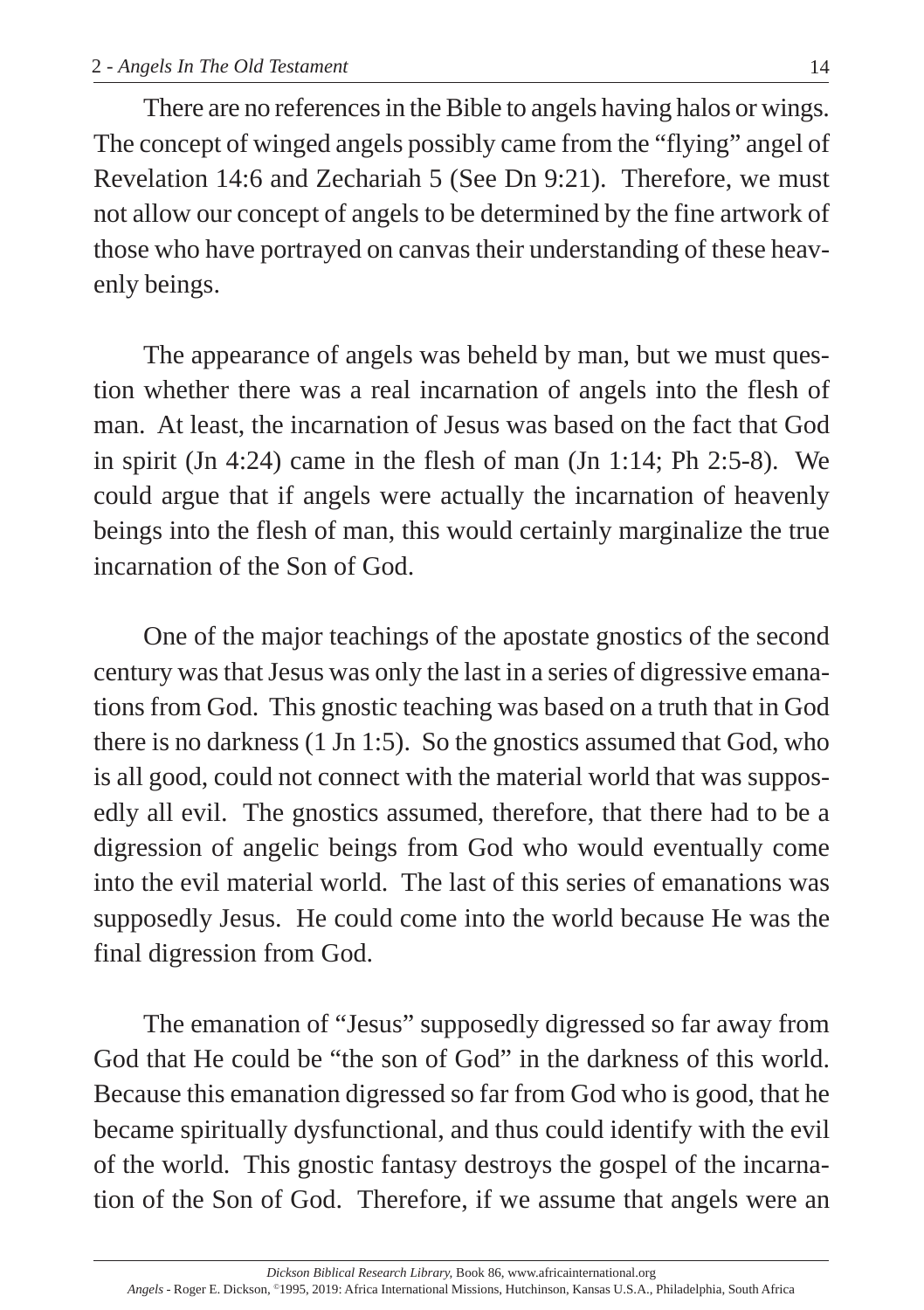There are no references in the Bible to angels having halos or wings. The concept of winged angels possibly came from the "flying" angel of Revelation 14:6 and Zechariah 5 (See Dn 9:21). Therefore, we must not allow our concept of angels to be determined by the fine artwork of those who have portrayed on canvas their understanding of these heavenly beings.

The appearance of angels was beheld by man, but we must question whether there was a real incarnation of angels into the flesh of man. At least, the incarnation of Jesus was based on the fact that God in spirit (Jn 4:24) came in the flesh of man (Jn 1:14; Ph 2:5-8). We could argue that if angels were actually the incarnation of heavenly beings into the flesh of man, this would certainly marginalize the true incarnation of the Son of God.

One of the major teachings of the apostate gnostics of the second century was that Jesus was only the last in a series of digressive emanations from God. This gnostic teaching was based on a truth that in God there is no darkness (1 Jn 1:5). So the gnostics assumed that God, who is all good, could not connect with the material world that was supposedly all evil. The gnostics assumed, therefore, that there had to be a digression of angelic beings from God who would eventually come into the evil material world. The last of this series of emanations was supposedly Jesus. He could come into the world because He was the final digression from God.

The emanation of "Jesus" supposedly digressed so far away from God that He could be "the son of God" in the darkness of this world. Because this emanation digressed so far from God who is good, that he became spiritually dysfunctional, and thus could identify with the evil of the world. This gnostic fantasy destroys the gospel of the incarnation of the Son of God. Therefore, if we assume that angels were an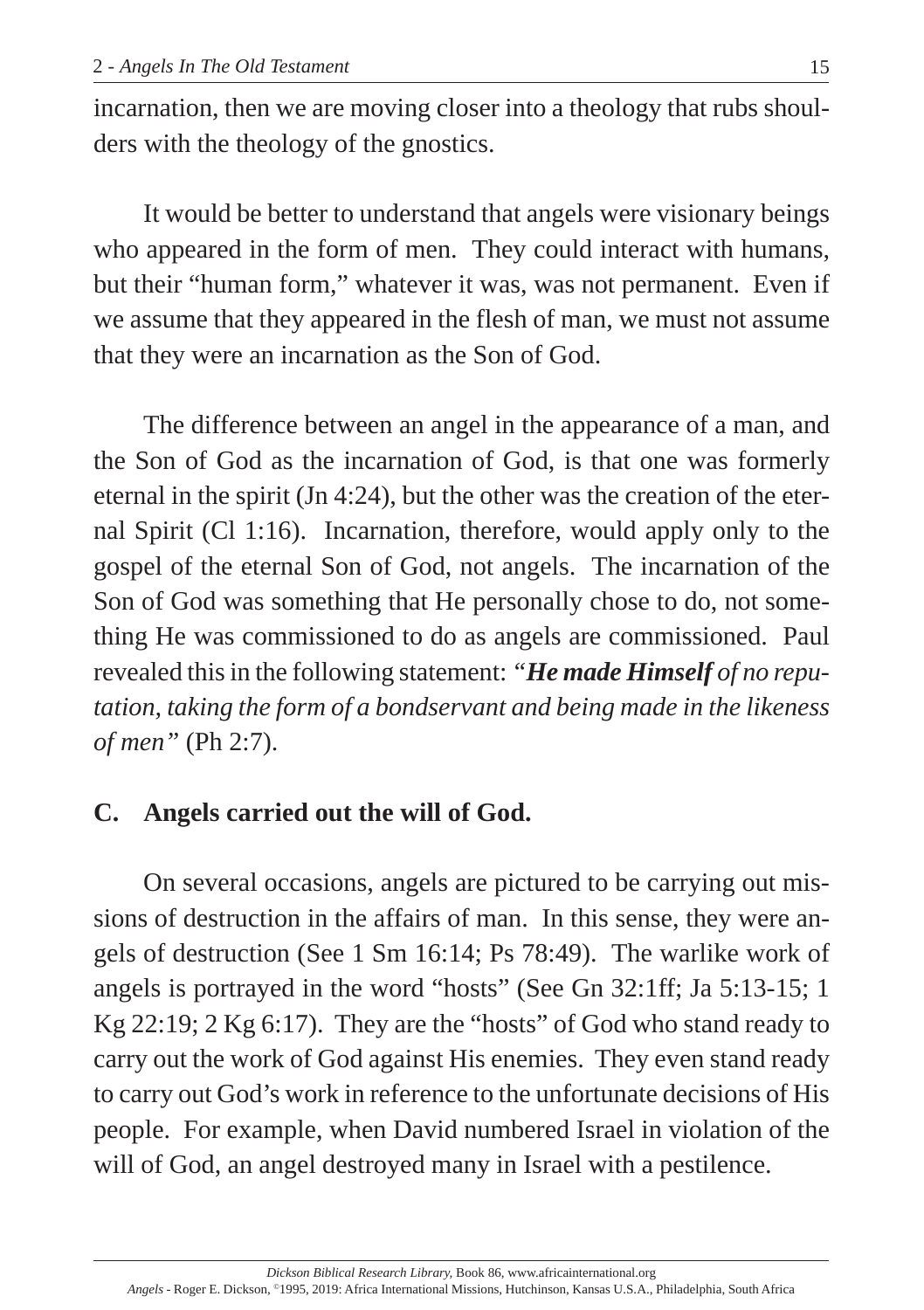incarnation, then we are moving closer into a theology that rubs shoulders with the theology of the gnostics.

It would be better to understand that angels were visionary beings who appeared in the form of men. They could interact with humans, but their "human form," whatever it was, was not permanent. Even if we assume that they appeared in the flesh of man, we must not assume that they were an incarnation as the Son of God.

The difference between an angel in the appearance of a man, and the Son of God as the incarnation of God, is that one was formerly eternal in the spirit (Jn 4:24), but the other was the creation of the eternal Spirit (Cl 1:16). Incarnation, therefore, would apply only to the gospel of the eternal Son of God, not angels. The incarnation of the Son of God was something that He personally chose to do, not something He was commissioned to do as angels are commissioned. Paul revealed this in the following statement: *"He made Himself of no reputation, taking the form of a bondservant and being made in the likeness of men"* (Ph 2:7).

# **C. Angels carried out the will of God.**

On several occasions, angels are pictured to be carrying out missions of destruction in the affairs of man. In this sense, they were angels of destruction (See 1 Sm 16:14; Ps 78:49). The warlike work of angels is portrayed in the word "hosts" (See Gn 32:1ff; Ja 5:13-15; 1 Kg 22:19; 2 Kg 6:17). They are the "hosts" of God who stand ready to carry out the work of God against His enemies. They even stand ready to carry out God's work in reference to the unfortunate decisions of His people. For example, when David numbered Israel in violation of the will of God, an angel destroyed many in Israel with a pestilence.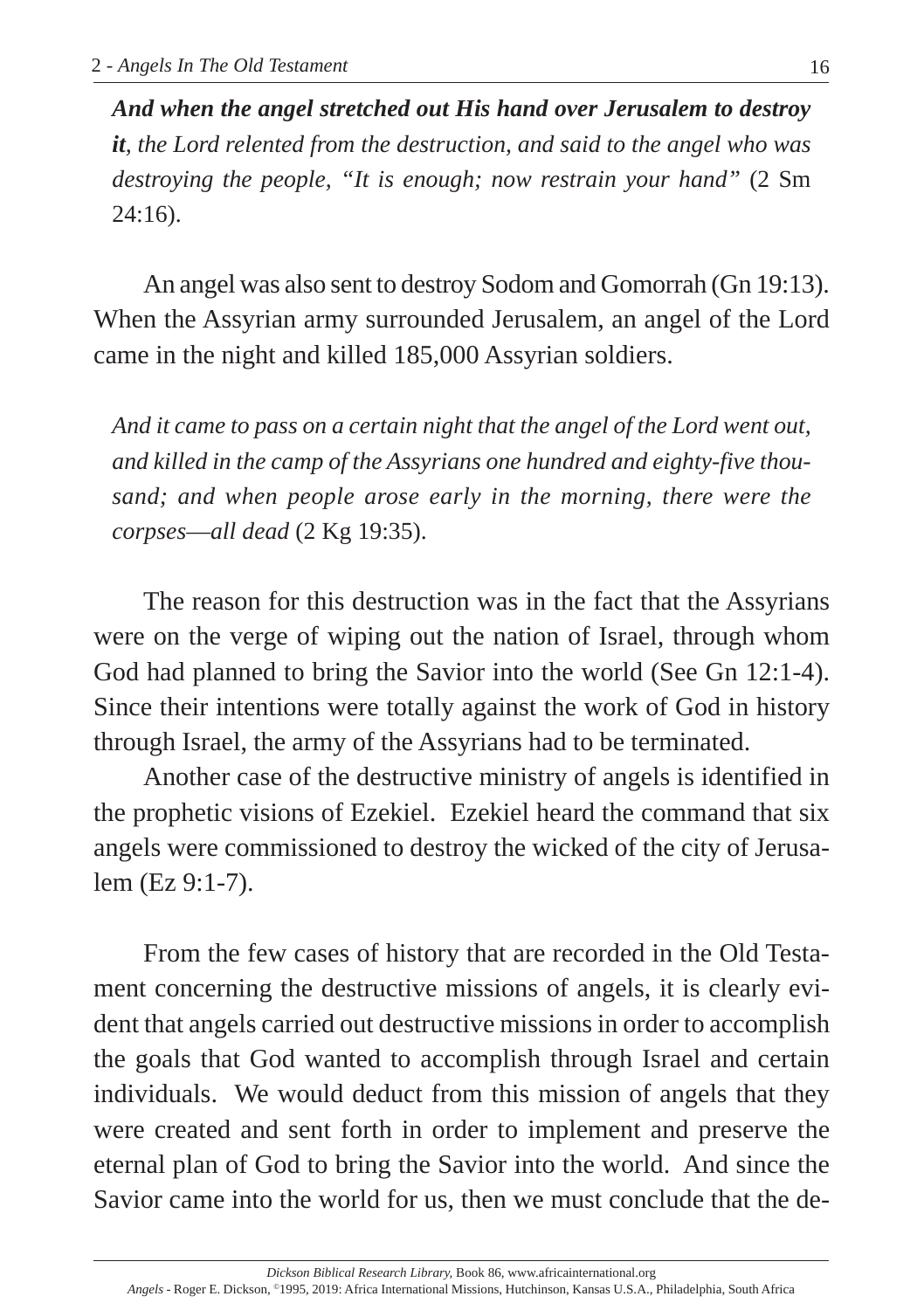*And when the angel stretched out His hand over Jerusalem to destroy it, the Lord relented from the destruction, and said to the angel who was destroying the people, "It is enough; now restrain your hand"* (2 Sm 24:16).

An angel was also sent to destroy Sodom and Gomorrah (Gn 19:13). When the Assyrian army surrounded Jerusalem, an angel of the Lord came in the night and killed 185,000 Assyrian soldiers.

*And it came to pass on a certain night that the angel of the Lord went out, and killed in the camp of the Assyrians one hundred and eighty-five thousand; and when people arose early in the morning, there were the corpses*—*all dead* (2 Kg 19:35).

The reason for this destruction was in the fact that the Assyrians were on the verge of wiping out the nation of Israel, through whom God had planned to bring the Savior into the world (See Gn 12:1-4). Since their intentions were totally against the work of God in history through Israel, the army of the Assyrians had to be terminated.

Another case of the destructive ministry of angels is identified in the prophetic visions of Ezekiel. Ezekiel heard the command that six angels were commissioned to destroy the wicked of the city of Jerusalem (Ez 9:1-7).

From the few cases of history that are recorded in the Old Testament concerning the destructive missions of angels, it is clearly evident that angels carried out destructive missions in order to accomplish the goals that God wanted to accomplish through Israel and certain individuals. We would deduct from this mission of angels that they were created and sent forth in order to implement and preserve the eternal plan of God to bring the Savior into the world. And since the Savior came into the world for us, then we must conclude that the de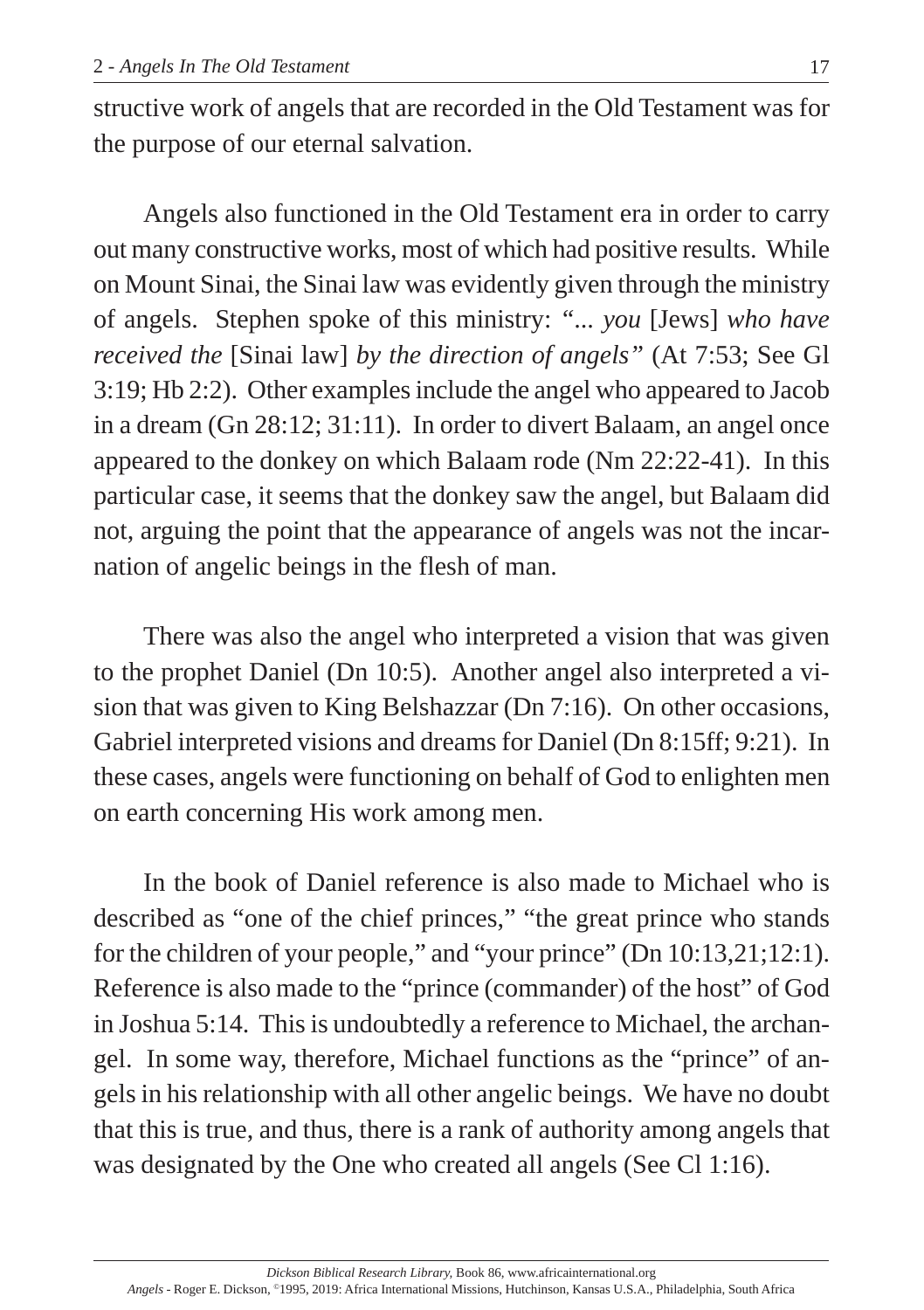structive work of angels that are recorded in the Old Testament was for the purpose of our eternal salvation.

Angels also functioned in the Old Testament era in order to carry out many constructive works, most of which had positive results. While on Mount Sinai, the Sinai law was evidently given through the ministry of angels. Stephen spoke of this ministry: *"... you* [Jews] *who have received the* [Sinai law] *by the direction of angels"* (At 7:53; See Gl 3:19; Hb 2:2). Other examples include the angel who appeared to Jacob in a dream (Gn 28:12; 31:11). In order to divert Balaam, an angel once appeared to the donkey on which Balaam rode (Nm 22:22-41). In this particular case, it seems that the donkey saw the angel, but Balaam did not, arguing the point that the appearance of angels was not the incarnation of angelic beings in the flesh of man.

There was also the angel who interpreted a vision that was given to the prophet Daniel (Dn 10:5). Another angel also interpreted a vision that was given to King Belshazzar (Dn 7:16). On other occasions, Gabriel interpreted visions and dreams for Daniel (Dn 8:15ff; 9:21). In these cases, angels were functioning on behalf of God to enlighten men on earth concerning His work among men.

In the book of Daniel reference is also made to Michael who is described as "one of the chief princes," "the great prince who stands for the children of your people," and "your prince" (Dn 10:13,21;12:1). Reference is also made to the "prince (commander) of the host" of God in Joshua 5:14. This is undoubtedly a reference to Michael, the archangel. In some way, therefore, Michael functions as the "prince" of angels in his relationship with all other angelic beings. We have no doubt that this is true, and thus, there is a rank of authority among angels that was designated by the One who created all angels (See Cl 1:16).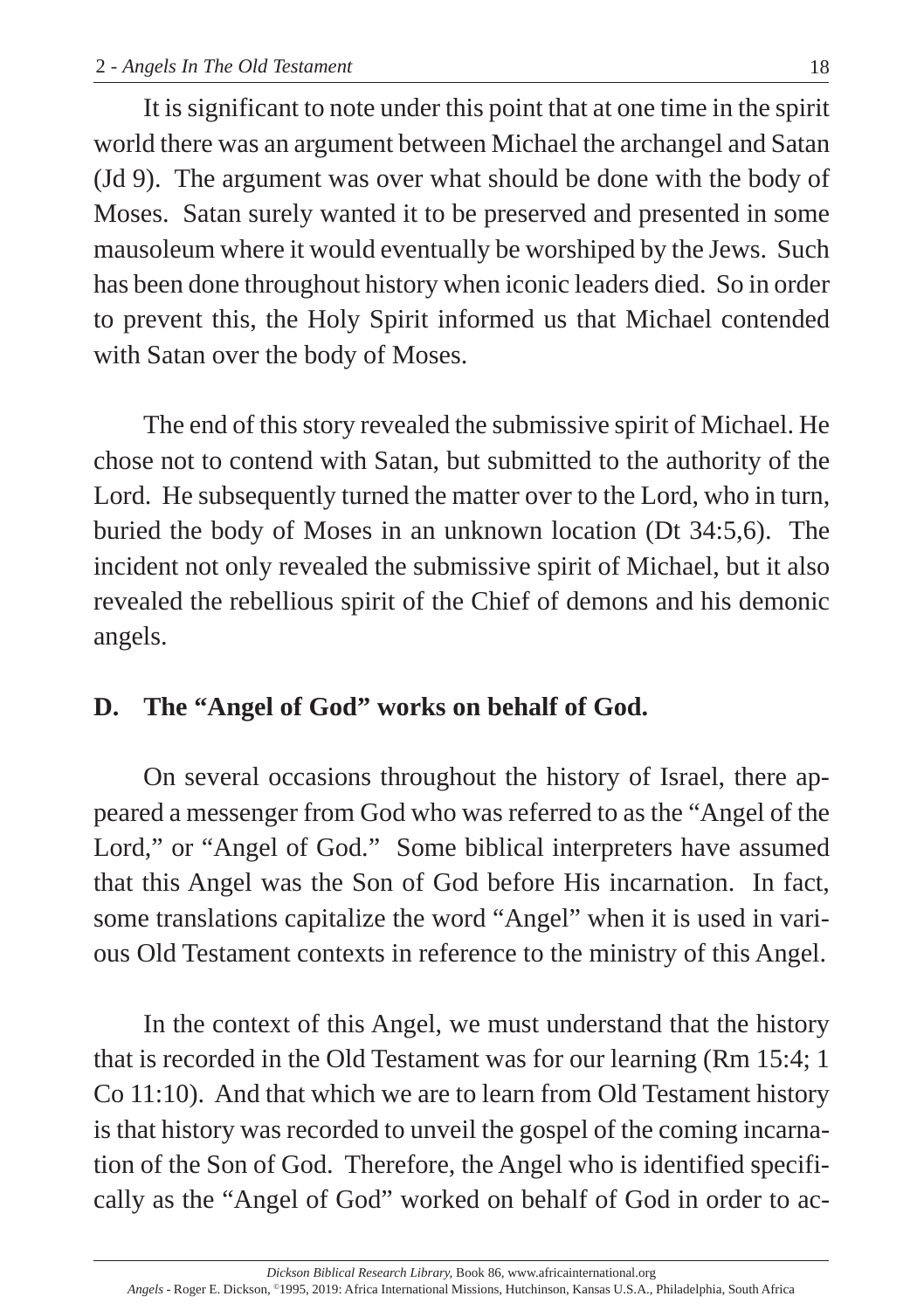It is significant to note under this point that at one time in the spirit world there was an argument between Michael the archangel and Satan (Jd 9). The argument was over what should be done with the body of Moses. Satan surely wanted it to be preserved and presented in some mausoleum where it would eventually be worshiped by the Jews. Such has been done throughout history when iconic leaders died. So in order to prevent this, the Holy Spirit informed us that Michael contended with Satan over the body of Moses.

The end of this story revealed the submissive spirit of Michael. He chose not to contend with Satan, but submitted to the authority of the Lord. He subsequently turned the matter over to the Lord, who in turn, buried the body of Moses in an unknown location (Dt 34:5,6). The incident not only revealed the submissive spirit of Michael, but it also revealed the rebellious spirit of the Chief of demons and his demonic angels.

# **D. The "Angel of God" works on behalf of God.**

On several occasions throughout the history of Israel, there appeared a messenger from God who was referred to as the "Angel of the Lord," or "Angel of God." Some biblical interpreters have assumed that this Angel was the Son of God before His incarnation. In fact, some translations capitalize the word "Angel" when it is used in various Old Testament contexts in reference to the ministry of this Angel.

In the context of this Angel, we must understand that the history that is recorded in the Old Testament was for our learning (Rm 15:4; 1 Co 11:10). And that which we are to learn from Old Testament history is that history was recorded to unveil the gospel of the coming incarnation of the Son of God. Therefore, the Angel who is identified specifically as the "Angel of God" worked on behalf of God in order to ac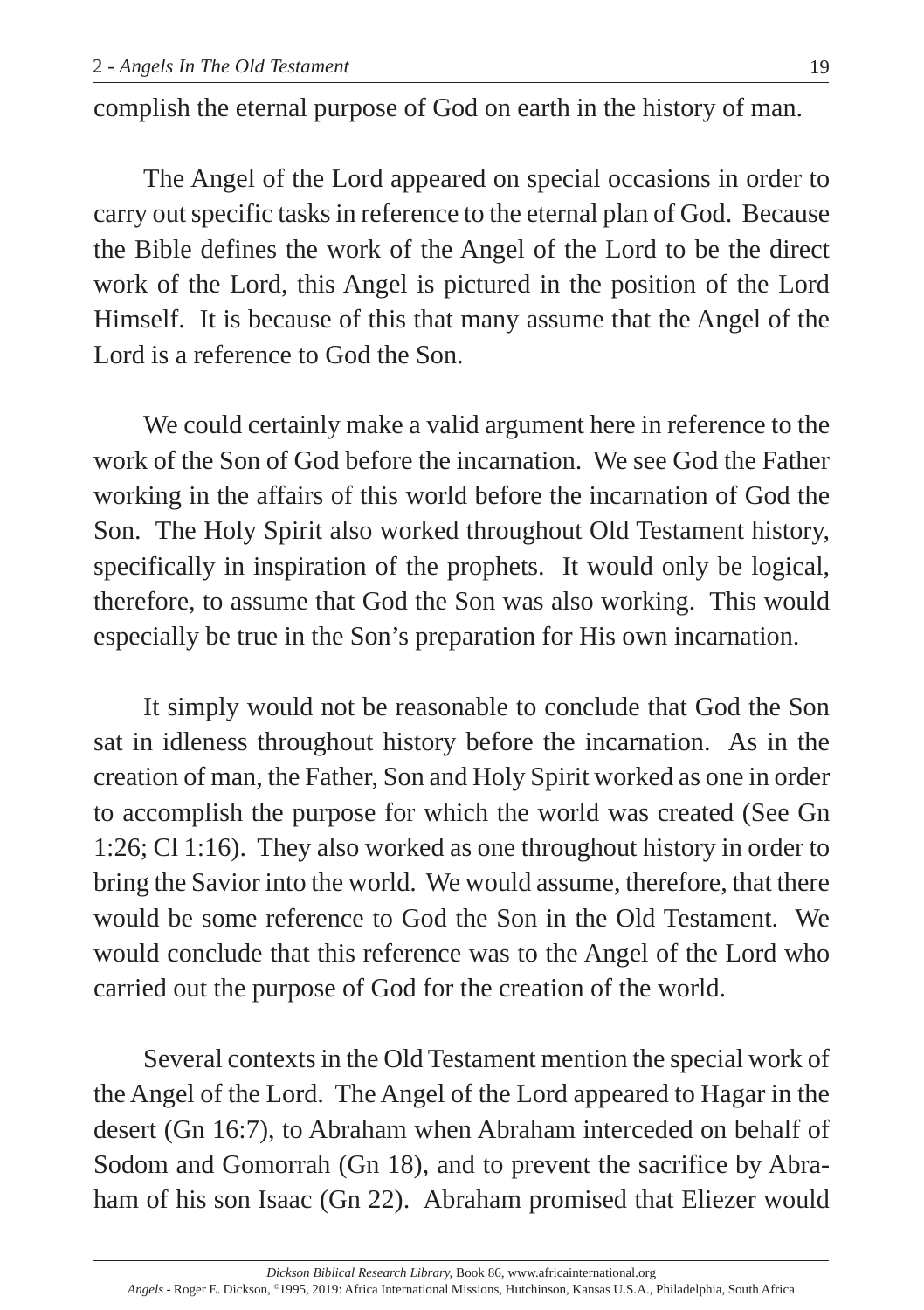complish the eternal purpose of God on earth in the history of man.

The Angel of the Lord appeared on special occasions in order to carry out specific tasks in reference to the eternal plan of God. Because the Bible defines the work of the Angel of the Lord to be the direct work of the Lord, this Angel is pictured in the position of the Lord Himself. It is because of this that many assume that the Angel of the Lord is a reference to God the Son.

We could certainly make a valid argument here in reference to the work of the Son of God before the incarnation. We see God the Father working in the affairs of this world before the incarnation of God the Son. The Holy Spirit also worked throughout Old Testament history, specifically in inspiration of the prophets. It would only be logical, therefore, to assume that God the Son was also working. This would especially be true in the Son's preparation for His own incarnation.

It simply would not be reasonable to conclude that God the Son sat in idleness throughout history before the incarnation. As in the creation of man, the Father, Son and Holy Spirit worked as one in order to accomplish the purpose for which the world was created (See Gn 1:26; Cl 1:16). They also worked as one throughout history in order to bring the Savior into the world. We would assume, therefore, that there would be some reference to God the Son in the Old Testament. We would conclude that this reference was to the Angel of the Lord who carried out the purpose of God for the creation of the world.

Several contexts in the Old Testament mention the special work of the Angel of the Lord. The Angel of the Lord appeared to Hagar in the desert (Gn 16:7), to Abraham when Abraham interceded on behalf of Sodom and Gomorrah (Gn 18), and to prevent the sacrifice by Abraham of his son Isaac (Gn 22). Abraham promised that Eliezer would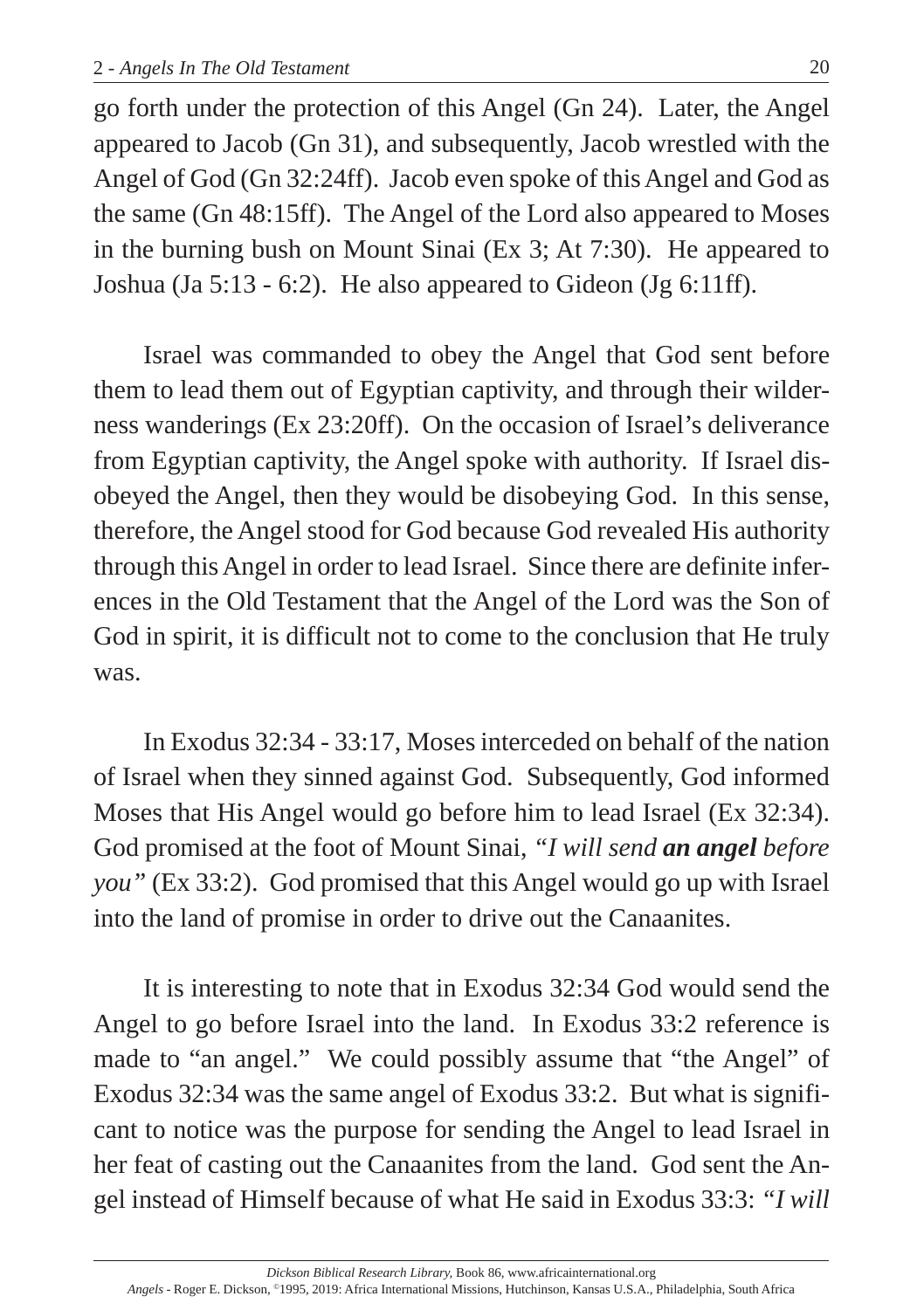go forth under the protection of this Angel (Gn 24). Later, the Angel appeared to Jacob (Gn 31), and subsequently, Jacob wrestled with the Angel of God (Gn 32:24ff). Jacob even spoke of this Angel and God as the same (Gn 48:15ff). The Angel of the Lord also appeared to Moses in the burning bush on Mount Sinai (Ex 3; At 7:30). He appeared to Joshua (Ja 5:13 - 6:2). He also appeared to Gideon (Jg 6:11ff).

Israel was commanded to obey the Angel that God sent before them to lead them out of Egyptian captivity, and through their wilderness wanderings (Ex 23:20ff). On the occasion of Israel's deliverance from Egyptian captivity, the Angel spoke with authority. If Israel disobeyed the Angel, then they would be disobeying God. In this sense, therefore, the Angel stood for God because God revealed His authority through this Angel in order to lead Israel. Since there are definite inferences in the Old Testament that the Angel of the Lord was the Son of God in spirit, it is difficult not to come to the conclusion that He truly was.

In Exodus 32:34 - 33:17, Moses interceded on behalf of the nation of Israel when they sinned against God. Subsequently, God informed Moses that His Angel would go before him to lead Israel (Ex 32:34). God promised at the foot of Mount Sinai, *"I will send an angel before you"* (Ex 33:2). God promised that this Angel would go up with Israel into the land of promise in order to drive out the Canaanites.

It is interesting to note that in Exodus 32:34 God would send the Angel to go before Israel into the land. In Exodus 33:2 reference is made to "an angel." We could possibly assume that "the Angel" of Exodus 32:34 was the same angel of Exodus 33:2. But what is significant to notice was the purpose for sending the Angel to lead Israel in her feat of casting out the Canaanites from the land. God sent the Angel instead of Himself because of what He said in Exodus 33:3: *"I will*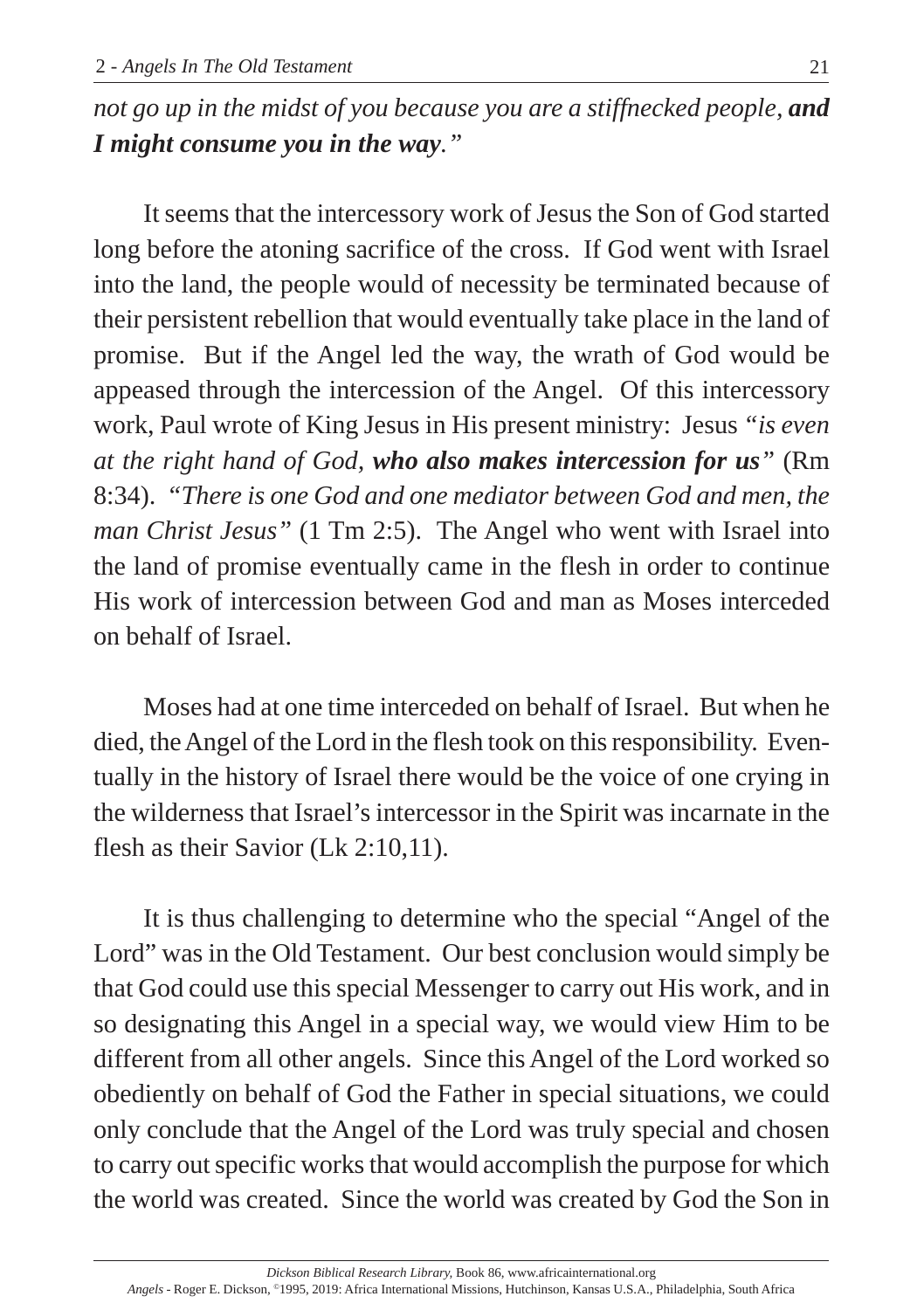*not go up in the midst of you because you are a stiffnecked people, and I might consume you in the way."*

It seems that the intercessory work of Jesus the Son of God started long before the atoning sacrifice of the cross. If God went with Israel into the land, the people would of necessity be terminated because of their persistent rebellion that would eventually take place in the land of promise. But if the Angel led the way, the wrath of God would be appeased through the intercession of the Angel. Of this intercessory work, Paul wrote of King Jesus in His present ministry: Jesus *"is even at the right hand of God, who also makes intercession for us"* (Rm 8:34). *"There is one God and one mediator between God and men, the man Christ Jesus"* (1 Tm 2:5). The Angel who went with Israel into the land of promise eventually came in the flesh in order to continue His work of intercession between God and man as Moses interceded on behalf of Israel.

Moses had at one time interceded on behalf of Israel. But when he died, the Angel of the Lord in the flesh took on this responsibility. Eventually in the history of Israel there would be the voice of one crying in the wilderness that Israel's intercessor in the Spirit was incarnate in the flesh as their Savior (Lk 2:10,11).

It is thus challenging to determine who the special "Angel of the Lord" was in the Old Testament. Our best conclusion would simply be that God could use this special Messenger to carry out His work, and in so designating this Angel in a special way, we would view Him to be different from all other angels. Since this Angel of the Lord worked so obediently on behalf of God the Father in special situations, we could only conclude that the Angel of the Lord was truly special and chosen to carry out specific works that would accomplish the purpose for which the world was created. Since the world was created by God the Son in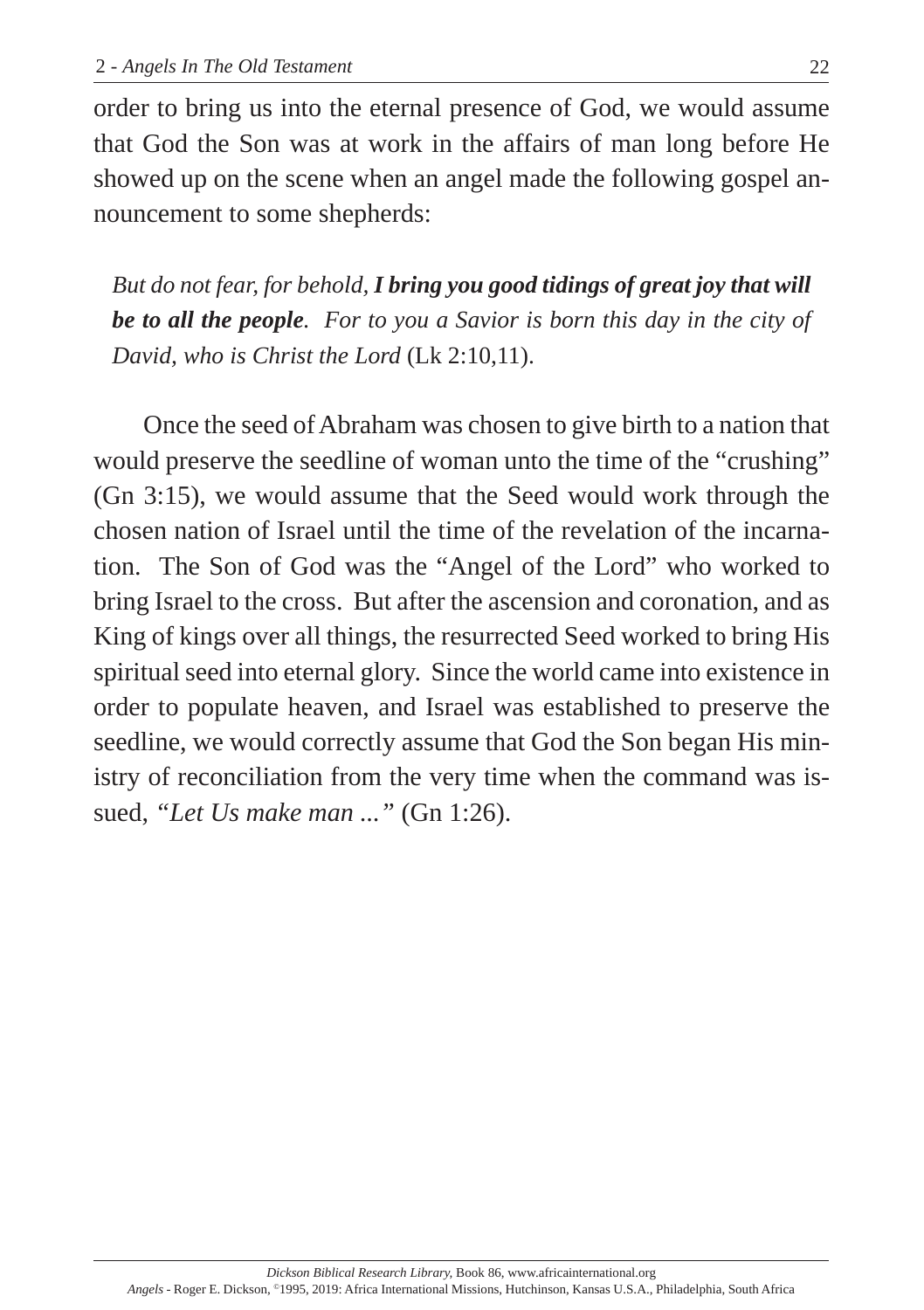order to bring us into the eternal presence of God, we would assume that God the Son was at work in the affairs of man long before He showed up on the scene when an angel made the following gospel announcement to some shepherds:

*But do not fear, for behold, I bring you good tidings of great joy that will be to all the people. For to you a Savior is born this day in the city of David, who is Christ the Lord* (Lk 2:10,11).

Once the seed of Abraham was chosen to give birth to a nation that would preserve the seedline of woman unto the time of the "crushing" (Gn 3:15), we would assume that the Seed would work through the chosen nation of Israel until the time of the revelation of the incarnation. The Son of God was the "Angel of the Lord" who worked to bring Israel to the cross. But after the ascension and coronation, and as King of kings over all things, the resurrected Seed worked to bring His spiritual seed into eternal glory. Since the world came into existence in order to populate heaven, and Israel was established to preserve the seedline, we would correctly assume that God the Son began His ministry of reconciliation from the very time when the command was issued, *"Let Us make man ..."* (Gn 1:26).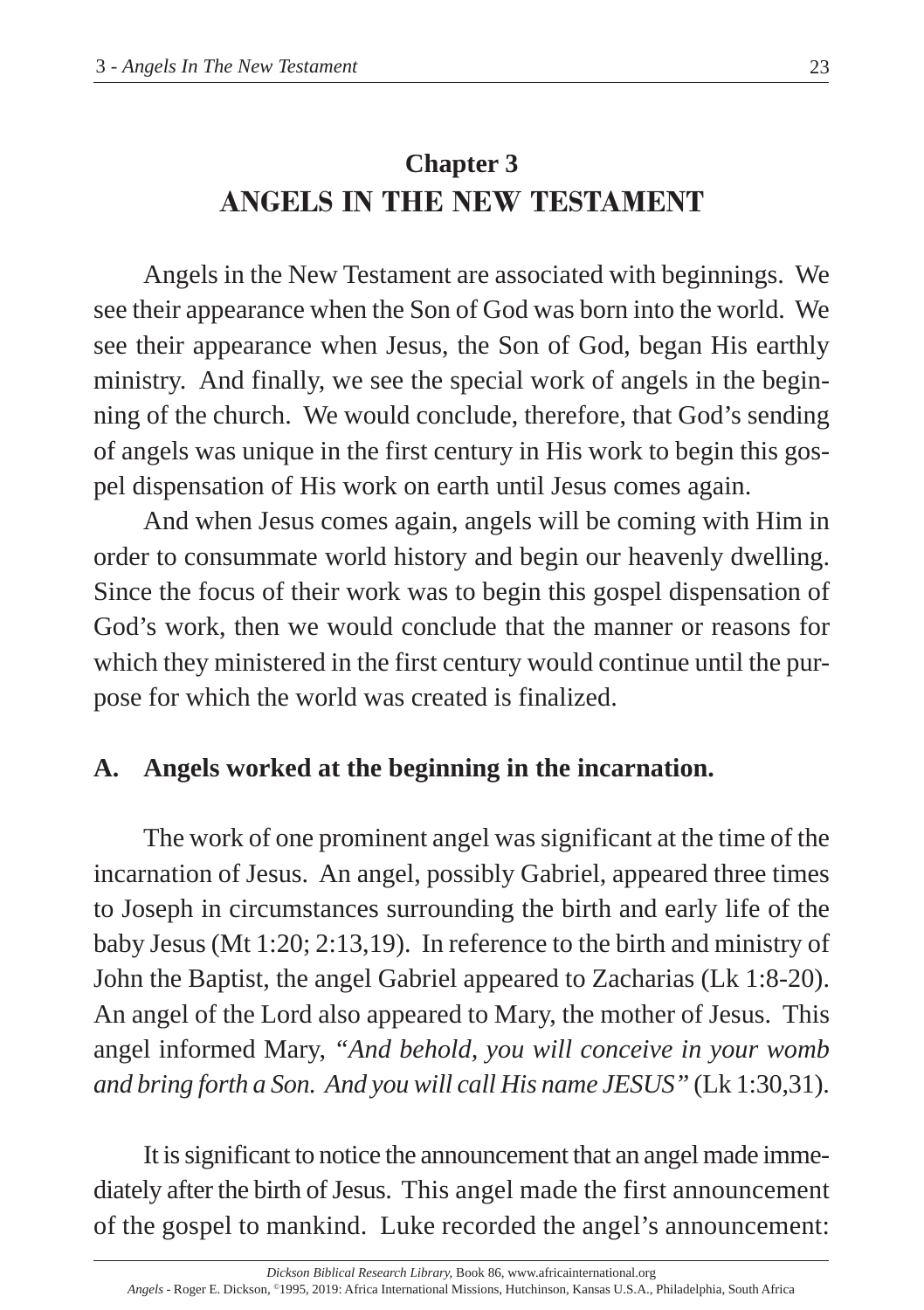# **Chapter 3 ANGELS IN THE NEW TESTAMENT**

Angels in the New Testament are associated with beginnings. We see their appearance when the Son of God was born into the world. We see their appearance when Jesus, the Son of God, began His earthly ministry. And finally, we see the special work of angels in the beginning of the church. We would conclude, therefore, that God's sending of angels was unique in the first century in His work to begin this gospel dispensation of His work on earth until Jesus comes again.

And when Jesus comes again, angels will be coming with Him in order to consummate world history and begin our heavenly dwelling. Since the focus of their work was to begin this gospel dispensation of God's work, then we would conclude that the manner or reasons for which they ministered in the first century would continue until the purpose for which the world was created is finalized.

# **A. Angels worked at the beginning in the incarnation.**

The work of one prominent angel was significant at the time of the incarnation of Jesus. An angel, possibly Gabriel, appeared three times to Joseph in circumstances surrounding the birth and early life of the baby Jesus (Mt 1:20; 2:13,19). In reference to the birth and ministry of John the Baptist, the angel Gabriel appeared to Zacharias (Lk 1:8-20). An angel of the Lord also appeared to Mary, the mother of Jesus. This angel informed Mary, *"And behold, you will conceive in your womb and bring forth a Son. And you will call His name JESUS"* (Lk 1:30,31).

It is significant to notice the announcement that an angel made immediately after the birth of Jesus. This angel made the first announcement of the gospel to mankind. Luke recorded the angel's announcement: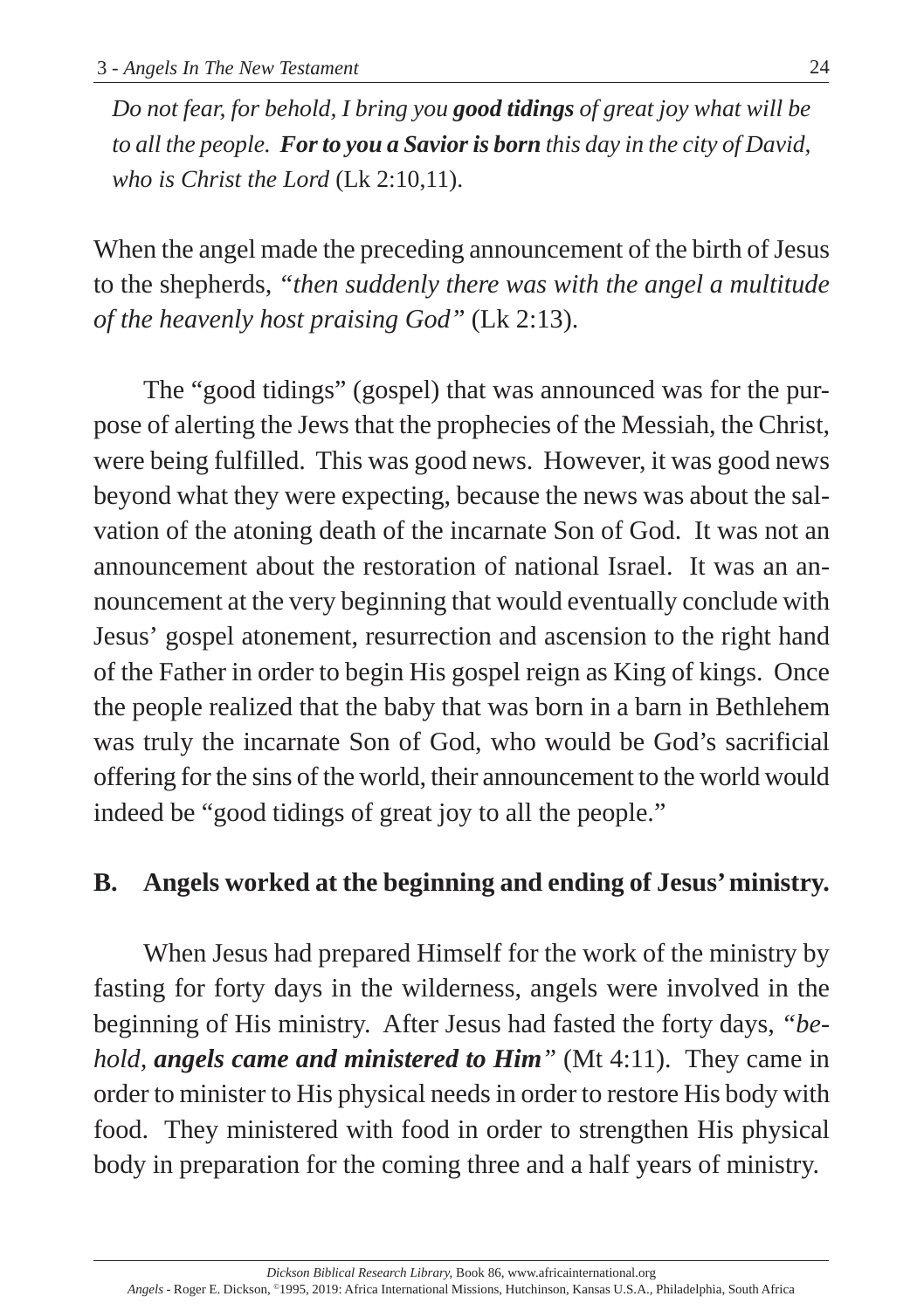*Do not fear, for behold, I bring you good tidings of great joy what will be to all the people. For to you a Savior is born this day in the city of David, who is Christ the Lord* (Lk 2:10,11).

When the angel made the preceding announcement of the birth of Jesus to the shepherds, *"then suddenly there was with the angel a multitude of the heavenly host praising God"* (Lk 2:13).

The "good tidings" (gospel) that was announced was for the purpose of alerting the Jews that the prophecies of the Messiah, the Christ, were being fulfilled. This was good news. However, it was good news beyond what they were expecting, because the news was about the salvation of the atoning death of the incarnate Son of God. It was not an announcement about the restoration of national Israel. It was an announcement at the very beginning that would eventually conclude with Jesus' gospel atonement, resurrection and ascension to the right hand of the Father in order to begin His gospel reign as King of kings. Once the people realized that the baby that was born in a barn in Bethlehem was truly the incarnate Son of God, who would be God's sacrificial offering for the sins of the world, their announcement to the world would indeed be "good tidings of great joy to all the people."

# **B. Angels worked at the beginning and ending of Jesus' ministry.**

When Jesus had prepared Himself for the work of the ministry by fasting for forty days in the wilderness, angels were involved in the beginning of His ministry. After Jesus had fasted the forty days, *"behold, angels came and ministered to Him"* (Mt 4:11). They came in order to minister to His physical needs in order to restore His body with food. They ministered with food in order to strengthen His physical body in preparation for the coming three and a half years of ministry.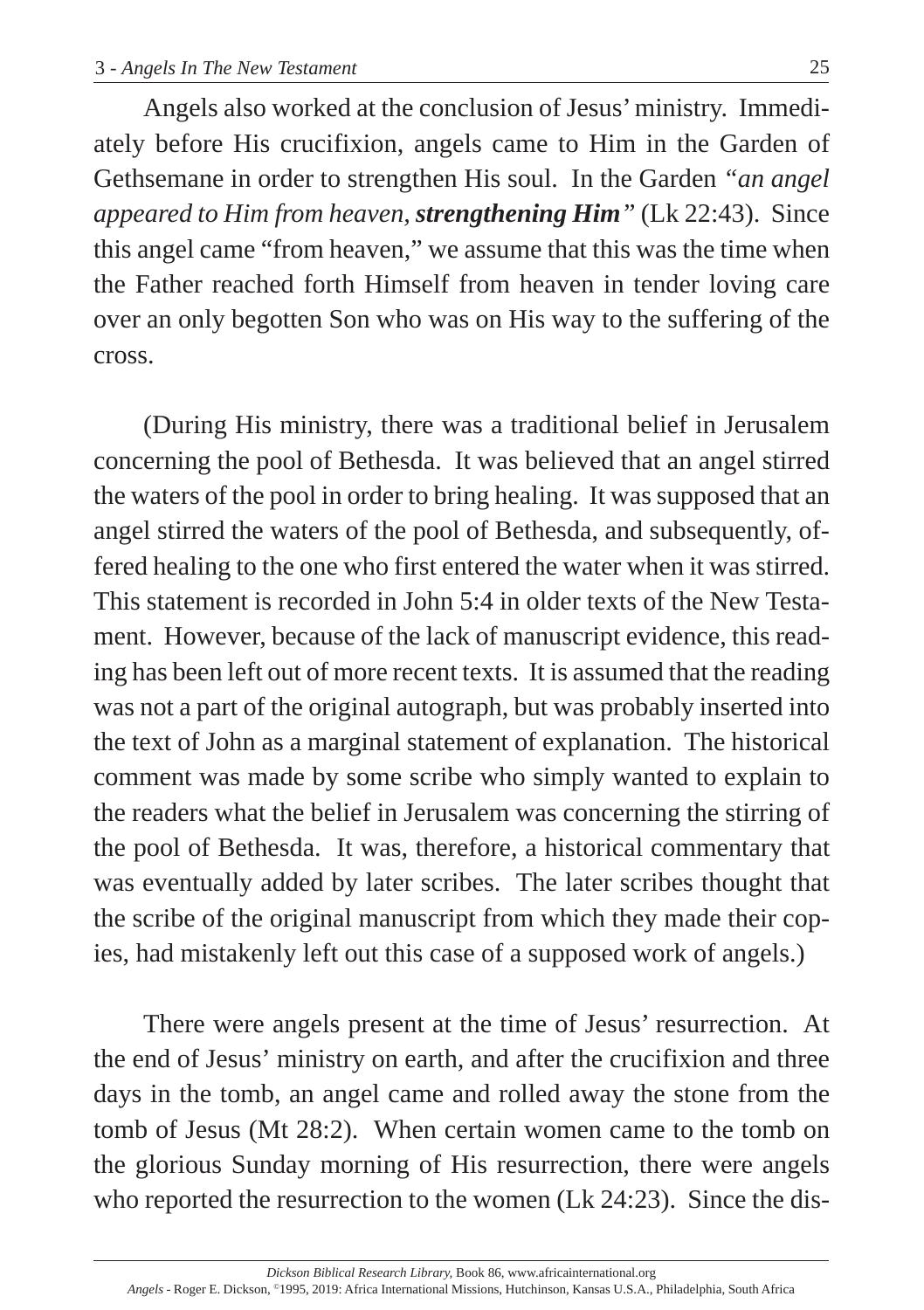Angels also worked at the conclusion of Jesus' ministry. Immediately before His crucifixion, angels came to Him in the Garden of Gethsemane in order to strengthen His soul. In the Garden *"an angel appeared to Him from heaven, strengthening Him"* (Lk 22:43). Since this angel came "from heaven," we assume that this was the time when the Father reached forth Himself from heaven in tender loving care over an only begotten Son who was on His way to the suffering of the cross.

(During His ministry, there was a traditional belief in Jerusalem concerning the pool of Bethesda. It was believed that an angel stirred the waters of the pool in order to bring healing. It was supposed that an angel stirred the waters of the pool of Bethesda, and subsequently, offered healing to the one who first entered the water when it was stirred. This statement is recorded in John 5:4 in older texts of the New Testament. However, because of the lack of manuscript evidence, this reading has been left out of more recent texts. It is assumed that the reading was not a part of the original autograph, but was probably inserted into the text of John as a marginal statement of explanation. The historical comment was made by some scribe who simply wanted to explain to the readers what the belief in Jerusalem was concerning the stirring of the pool of Bethesda. It was, therefore, a historical commentary that was eventually added by later scribes. The later scribes thought that the scribe of the original manuscript from which they made their copies, had mistakenly left out this case of a supposed work of angels.)

There were angels present at the time of Jesus' resurrection. At the end of Jesus' ministry on earth, and after the crucifixion and three days in the tomb, an angel came and rolled away the stone from the tomb of Jesus (Mt 28:2). When certain women came to the tomb on the glorious Sunday morning of His resurrection, there were angels who reported the resurrection to the women (Lk 24:23). Since the dis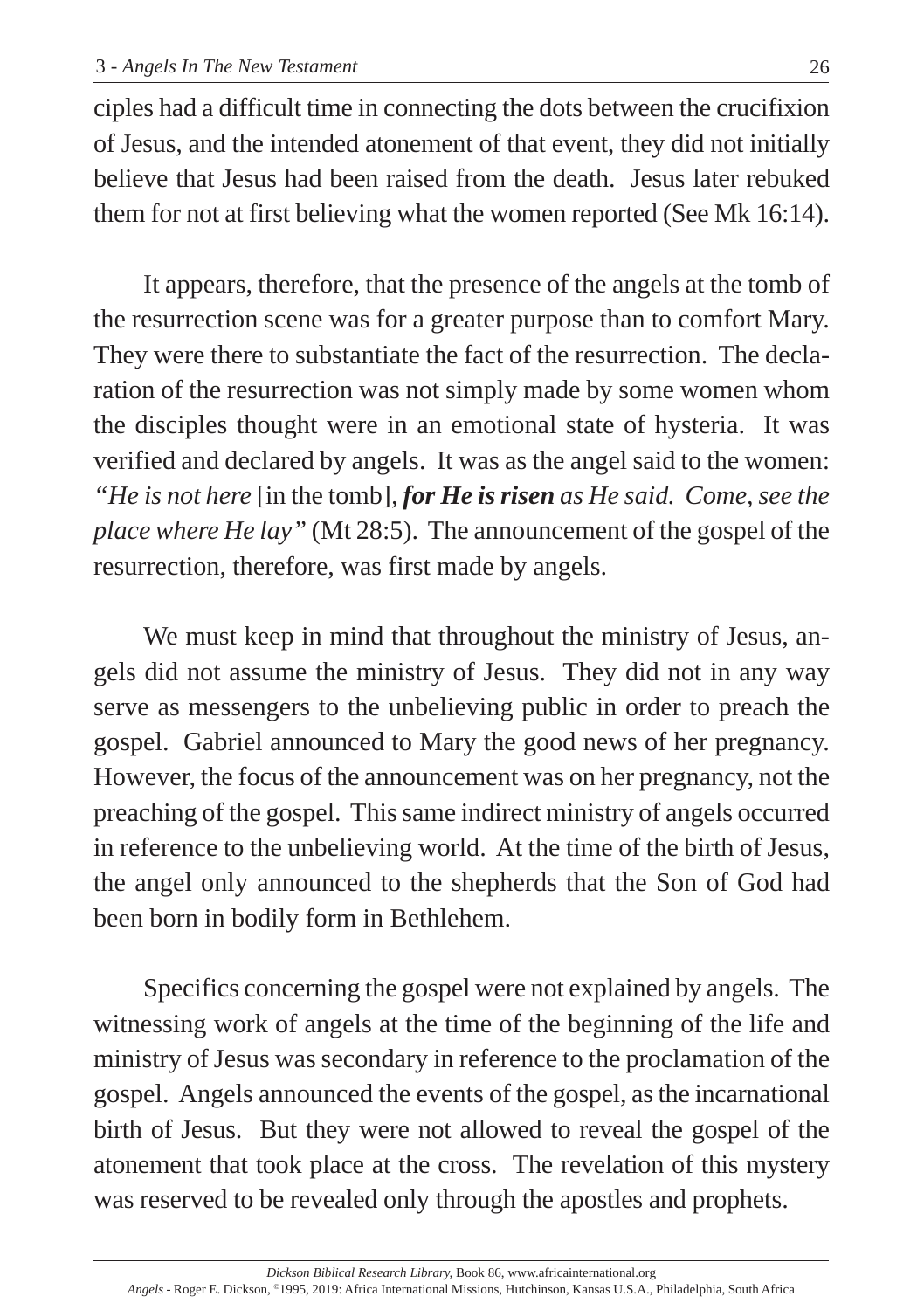ciples had a difficult time in connecting the dots between the crucifixion of Jesus, and the intended atonement of that event, they did not initially believe that Jesus had been raised from the death. Jesus later rebuked them for not at first believing what the women reported (See Mk 16:14).

It appears, therefore, that the presence of the angels at the tomb of the resurrection scene was for a greater purpose than to comfort Mary. They were there to substantiate the fact of the resurrection. The declaration of the resurrection was not simply made by some women whom the disciples thought were in an emotional state of hysteria. It was verified and declared by angels. It was as the angel said to the women: *"He is not here* [in the tomb]*, for He is risen as He said. Come, see the place where He lay"* (Mt 28:5). The announcement of the gospel of the resurrection, therefore, was first made by angels.

We must keep in mind that throughout the ministry of Jesus, angels did not assume the ministry of Jesus. They did not in any way serve as messengers to the unbelieving public in order to preach the gospel. Gabriel announced to Mary the good news of her pregnancy. However, the focus of the announcement was on her pregnancy, not the preaching of the gospel. This same indirect ministry of angels occurred in reference to the unbelieving world. At the time of the birth of Jesus, the angel only announced to the shepherds that the Son of God had been born in bodily form in Bethlehem.

Specifics concerning the gospel were not explained by angels. The witnessing work of angels at the time of the beginning of the life and ministry of Jesus was secondary in reference to the proclamation of the gospel. Angels announced the events of the gospel, as the incarnational birth of Jesus. But they were not allowed to reveal the gospel of the atonement that took place at the cross. The revelation of this mystery was reserved to be revealed only through the apostles and prophets.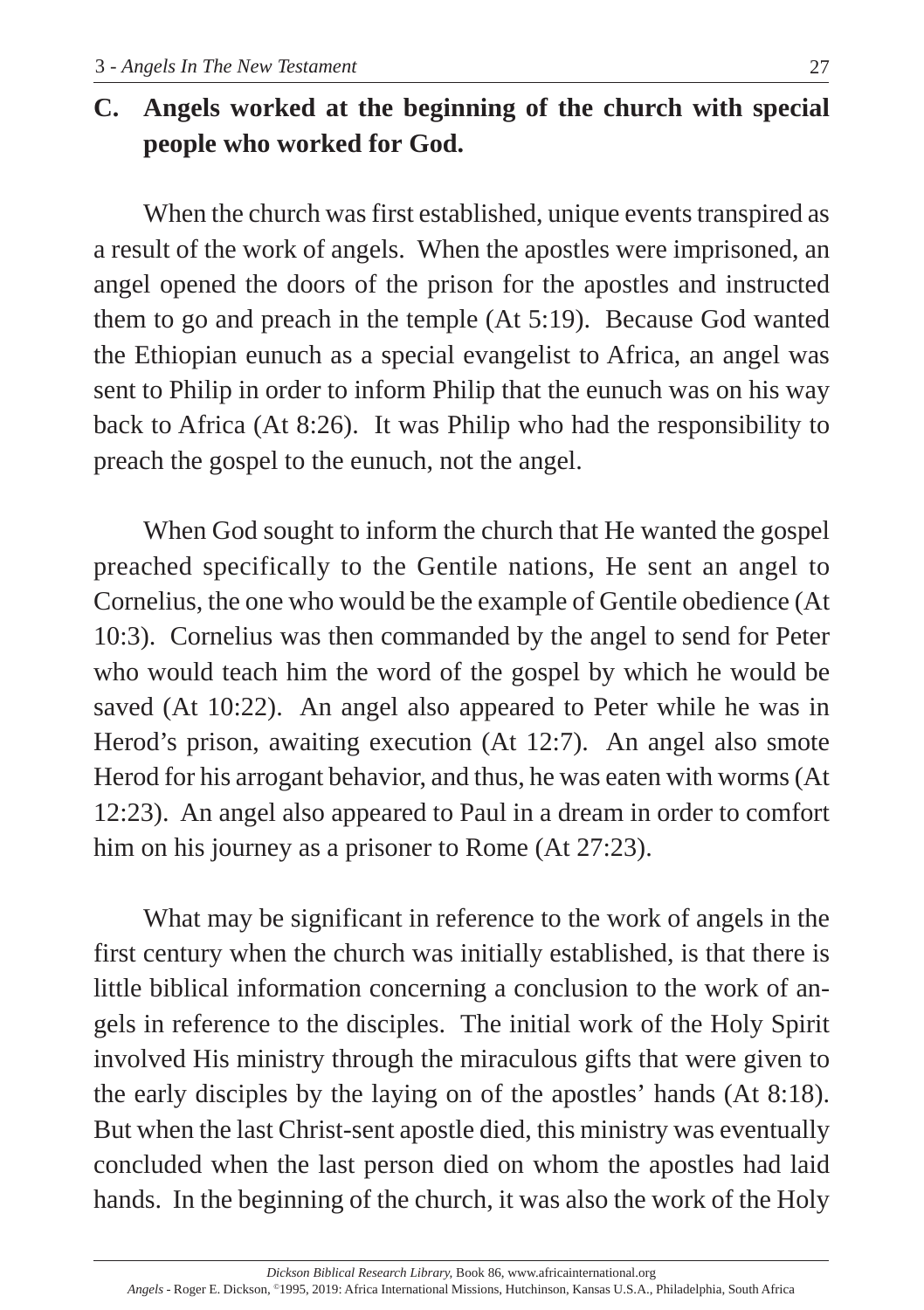# **C. Angels worked at the beginning of the church with special people who worked for God.**

When the church was first established, unique events transpired as a result of the work of angels. When the apostles were imprisoned, an angel opened the doors of the prison for the apostles and instructed them to go and preach in the temple (At 5:19). Because God wanted the Ethiopian eunuch as a special evangelist to Africa, an angel was sent to Philip in order to inform Philip that the eunuch was on his way back to Africa (At 8:26). It was Philip who had the responsibility to preach the gospel to the eunuch, not the angel.

When God sought to inform the church that He wanted the gospel preached specifically to the Gentile nations, He sent an angel to Cornelius, the one who would be the example of Gentile obedience (At 10:3). Cornelius was then commanded by the angel to send for Peter who would teach him the word of the gospel by which he would be saved (At 10:22). An angel also appeared to Peter while he was in Herod's prison, awaiting execution (At 12:7). An angel also smote Herod for his arrogant behavior, and thus, he was eaten with worms (At 12:23). An angel also appeared to Paul in a dream in order to comfort him on his journey as a prisoner to Rome (At 27:23).

What may be significant in reference to the work of angels in the first century when the church was initially established, is that there is little biblical information concerning a conclusion to the work of angels in reference to the disciples. The initial work of the Holy Spirit involved His ministry through the miraculous gifts that were given to the early disciples by the laying on of the apostles' hands (At 8:18). But when the last Christ-sent apostle died, this ministry was eventually concluded when the last person died on whom the apostles had laid hands. In the beginning of the church, it was also the work of the Holy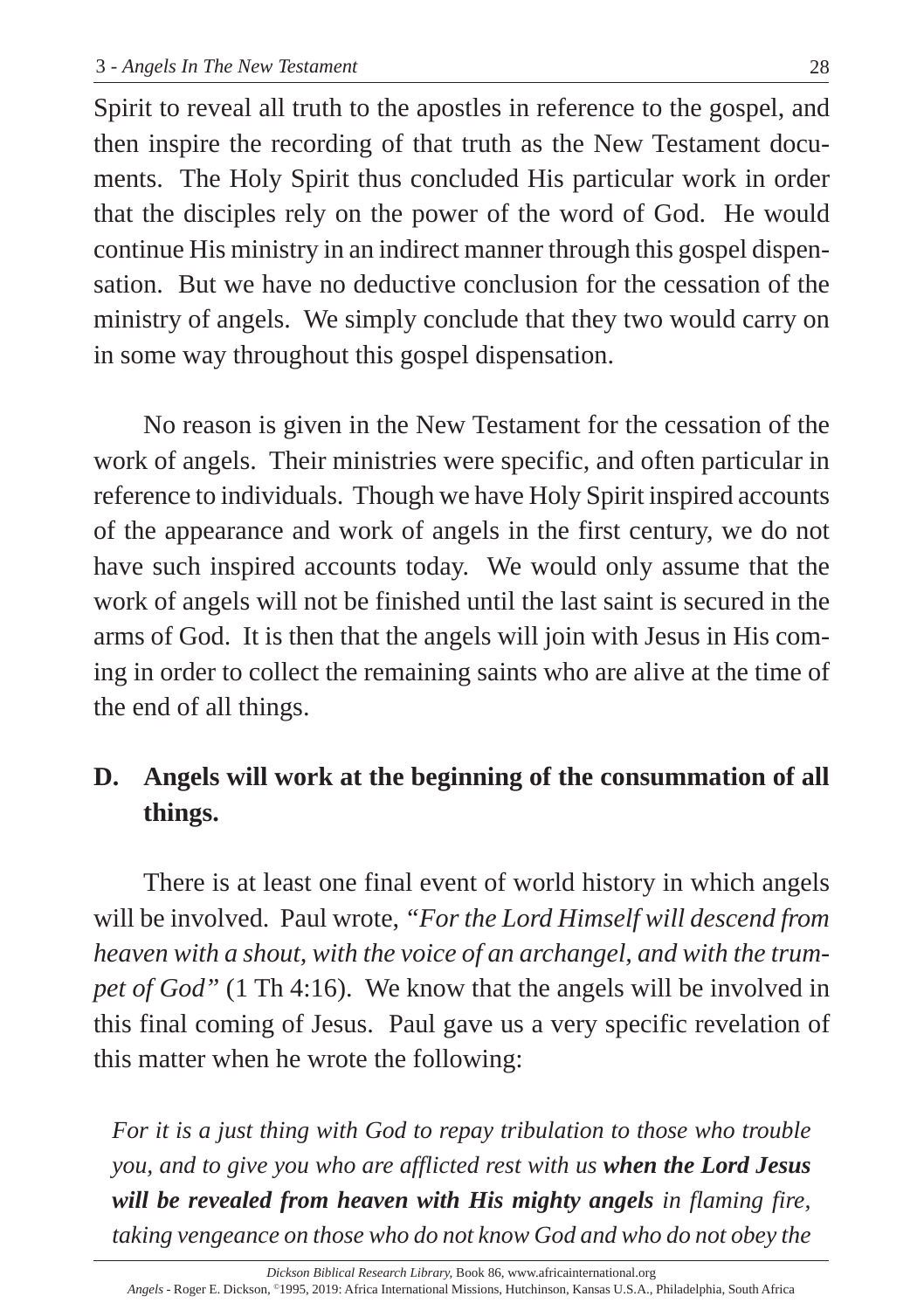Spirit to reveal all truth to the apostles in reference to the gospel, and then inspire the recording of that truth as the New Testament documents. The Holy Spirit thus concluded His particular work in order that the disciples rely on the power of the word of God. He would continue His ministry in an indirect manner through this gospel dispensation. But we have no deductive conclusion for the cessation of the ministry of angels. We simply conclude that they two would carry on in some way throughout this gospel dispensation.

No reason is given in the New Testament for the cessation of the work of angels. Their ministries were specific, and often particular in reference to individuals. Though we have Holy Spirit inspired accounts of the appearance and work of angels in the first century, we do not have such inspired accounts today. We would only assume that the work of angels will not be finished until the last saint is secured in the arms of God. It is then that the angels will join with Jesus in His coming in order to collect the remaining saints who are alive at the time of the end of all things.

# **D. Angels will work at the beginning of the consummation of all things.**

There is at least one final event of world history in which angels will be involved. Paul wrote, *"For the Lord Himself will descend from heaven with a shout, with the voice of an archangel, and with the trumpet of God"* (1 Th 4:16). We know that the angels will be involved in this final coming of Jesus. Paul gave us a very specific revelation of this matter when he wrote the following:

*For it is a just thing with God to repay tribulation to those who trouble you, and to give you who are afflicted rest with us when the Lord Jesus will be revealed from heaven with His mighty angels in flaming fire, taking vengeance on those who do not know God and who do not obey the*

*Angels* - Roger E. Dickson, ©1995, 2019: Africa International Missions, Hutchinson, Kansas U.S.A., Philadelphia, South Africa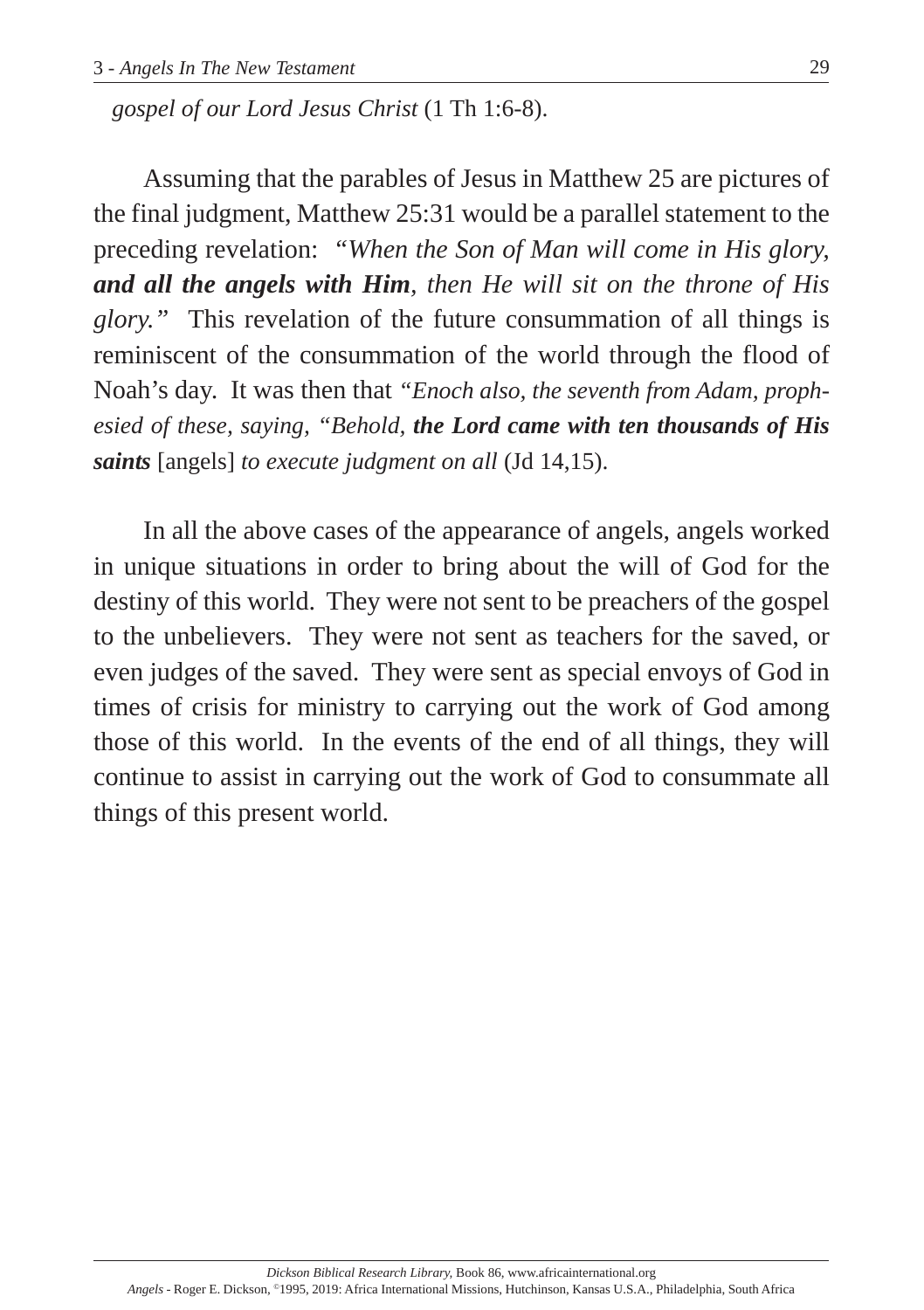*gospel of our Lord Jesus Christ* (1 Th 1:6-8).

Assuming that the parables of Jesus in Matthew 25 are pictures of the final judgment, Matthew 25:31 would be a parallel statement to the preceding revelation: *"When the Son of Man will come in His glory, and all the angels with Him, then He will sit on the throne of His glory."* This revelation of the future consummation of all things is reminiscent of the consummation of the world through the flood of Noah's day. It was then that *"Enoch also, the seventh from Adam, prophesied of these, saying, "Behold, the Lord came with ten thousands of His saints* [angels] *to execute judgment on all* (Jd 14,15).

In all the above cases of the appearance of angels, angels worked in unique situations in order to bring about the will of God for the destiny of this world. They were not sent to be preachers of the gospel to the unbelievers. They were not sent as teachers for the saved, or even judges of the saved. They were sent as special envoys of God in times of crisis for ministry to carrying out the work of God among those of this world. In the events of the end of all things, they will continue to assist in carrying out the work of God to consummate all things of this present world.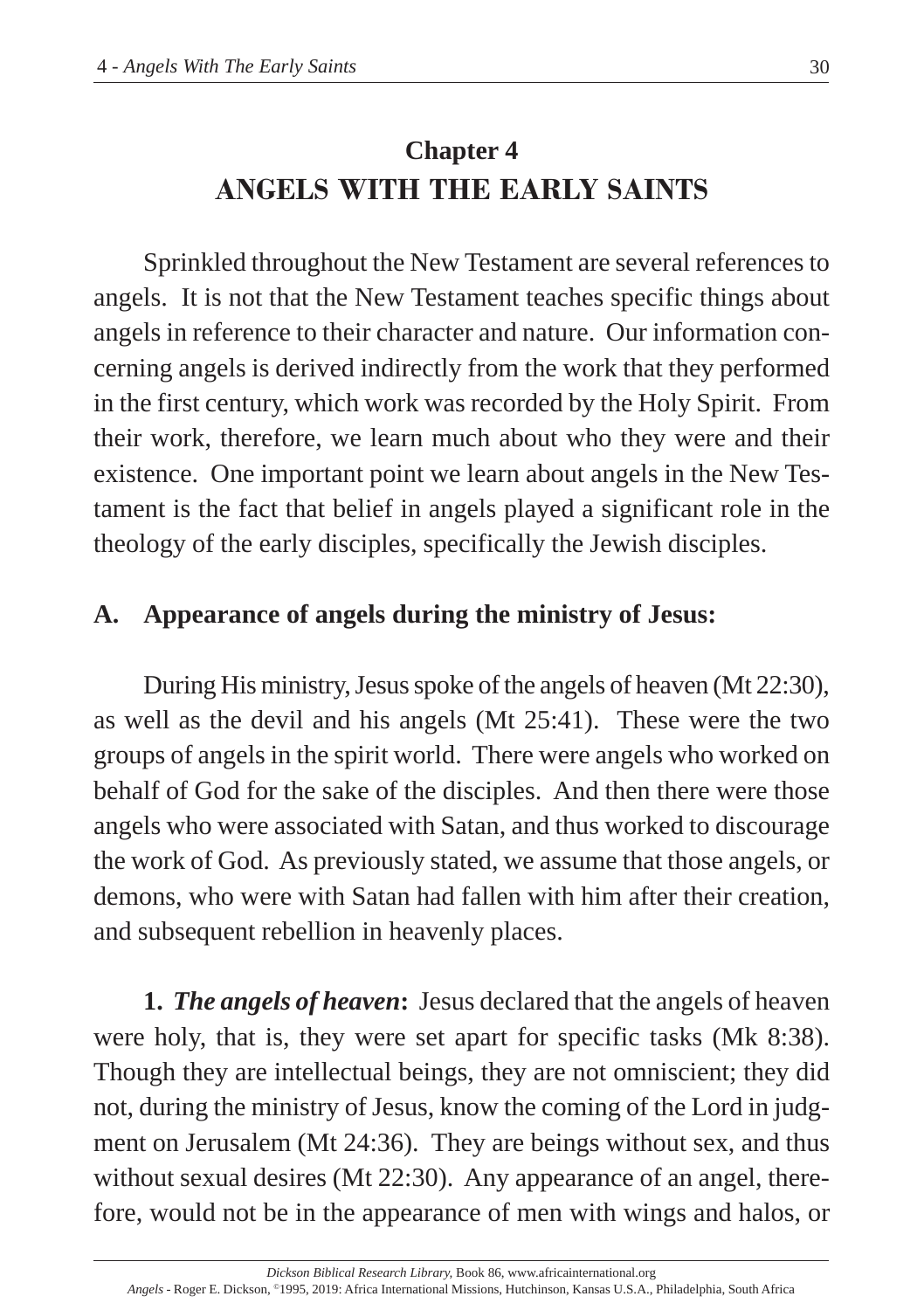# **Chapter 4 ANGELS WITH THE EARLY SAINTS**

Sprinkled throughout the New Testament are several references to angels. It is not that the New Testament teaches specific things about angels in reference to their character and nature. Our information concerning angels is derived indirectly from the work that they performed in the first century, which work was recorded by the Holy Spirit. From their work, therefore, we learn much about who they were and their existence. One important point we learn about angels in the New Testament is the fact that belief in angels played a significant role in the theology of the early disciples, specifically the Jewish disciples.

# **A. Appearance of angels during the ministry of Jesus:**

During His ministry, Jesus spoke of the angels of heaven (Mt 22:30), as well as the devil and his angels (Mt 25:41). These were the two groups of angels in the spirit world. There were angels who worked on behalf of God for the sake of the disciples. And then there were those angels who were associated with Satan, and thus worked to discourage the work of God. As previously stated, we assume that those angels, or demons, who were with Satan had fallen with him after their creation, and subsequent rebellion in heavenly places.

**1.** *The angels of heaven***:** Jesus declared that the angels of heaven were holy, that is, they were set apart for specific tasks (Mk 8:38). Though they are intellectual beings, they are not omniscient; they did not, during the ministry of Jesus, know the coming of the Lord in judgment on Jerusalem (Mt 24:36). They are beings without sex, and thus without sexual desires (Mt 22:30). Any appearance of an angel, therefore, would not be in the appearance of men with wings and halos, or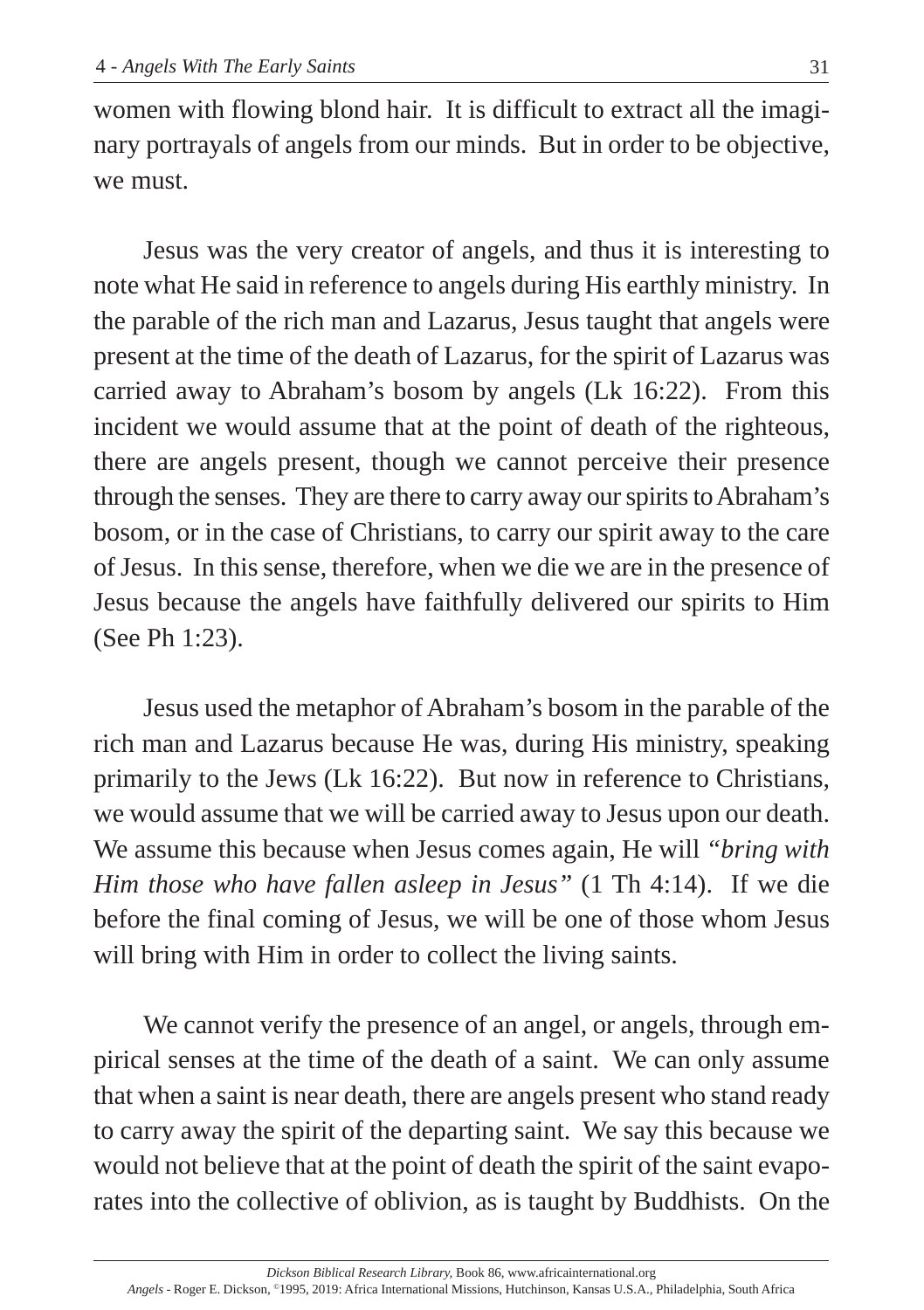women with flowing blond hair. It is difficult to extract all the imaginary portrayals of angels from our minds. But in order to be objective, we must.

Jesus was the very creator of angels, and thus it is interesting to note what He said in reference to angels during His earthly ministry. In the parable of the rich man and Lazarus, Jesus taught that angels were present at the time of the death of Lazarus, for the spirit of Lazarus was carried away to Abraham's bosom by angels (Lk 16:22). From this incident we would assume that at the point of death of the righteous, there are angels present, though we cannot perceive their presence through the senses. They are there to carry away our spirits to Abraham's bosom, or in the case of Christians, to carry our spirit away to the care of Jesus. In this sense, therefore, when we die we are in the presence of Jesus because the angels have faithfully delivered our spirits to Him (See Ph 1:23).

Jesus used the metaphor of Abraham's bosom in the parable of the rich man and Lazarus because He was, during His ministry, speaking primarily to the Jews (Lk 16:22). But now in reference to Christians, we would assume that we will be carried away to Jesus upon our death. We assume this because when Jesus comes again, He will *"bring with Him those who have fallen asleep in Jesus"* (1 Th 4:14). If we die before the final coming of Jesus, we will be one of those whom Jesus will bring with Him in order to collect the living saints.

We cannot verify the presence of an angel, or angels, through empirical senses at the time of the death of a saint. We can only assume that when a saint is near death, there are angels present who stand ready to carry away the spirit of the departing saint. We say this because we would not believe that at the point of death the spirit of the saint evaporates into the collective of oblivion, as is taught by Buddhists. On the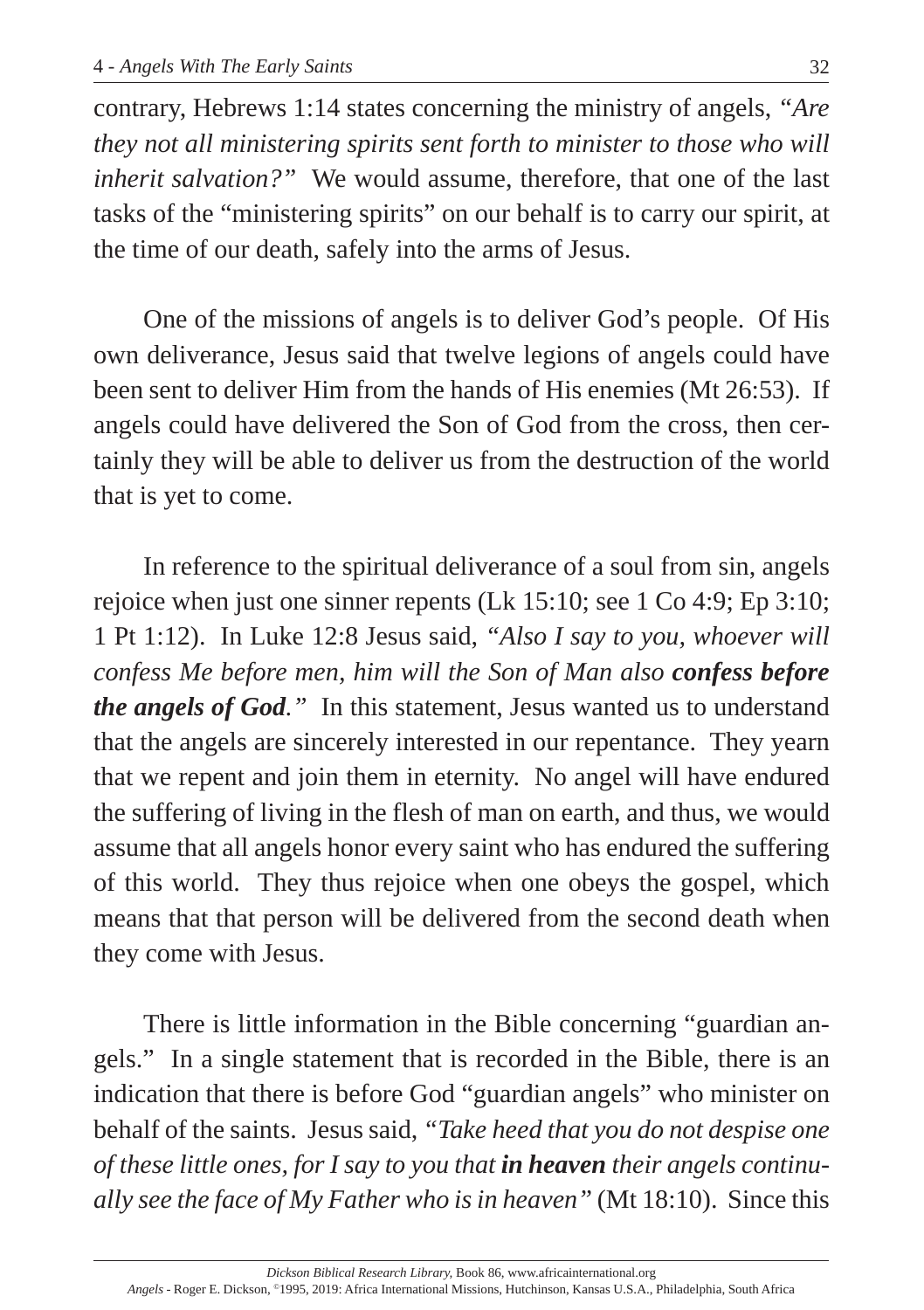contrary, Hebrews 1:14 states concerning the ministry of angels, *"Are they not all ministering spirits sent forth to minister to those who will inherit salvation?"* We would assume, therefore, that one of the last tasks of the "ministering spirits" on our behalf is to carry our spirit, at the time of our death, safely into the arms of Jesus.

One of the missions of angels is to deliver God's people. Of His own deliverance, Jesus said that twelve legions of angels could have been sent to deliver Him from the hands of His enemies (Mt 26:53). If angels could have delivered the Son of God from the cross, then certainly they will be able to deliver us from the destruction of the world that is yet to come.

In reference to the spiritual deliverance of a soul from sin, angels rejoice when just one sinner repents (Lk 15:10; see 1 Co 4:9; Ep 3:10; 1 Pt 1:12). In Luke 12:8 Jesus said, *"Also I say to you, whoever will confess Me before men, him will the Son of Man also confess before the angels of God."* In this statement, Jesus wanted us to understand that the angels are sincerely interested in our repentance. They yearn that we repent and join them in eternity. No angel will have endured the suffering of living in the flesh of man on earth, and thus, we would assume that all angels honor every saint who has endured the suffering of this world. They thus rejoice when one obeys the gospel, which means that that person will be delivered from the second death when they come with Jesus.

There is little information in the Bible concerning "guardian angels." In a single statement that is recorded in the Bible, there is an indication that there is before God "guardian angels" who minister on behalf of the saints. Jesus said, *"Take heed that you do not despise one of these little ones, for I say to you that in heaven their angels continually see the face of My Father who is in heaven"* (Mt 18:10). Since this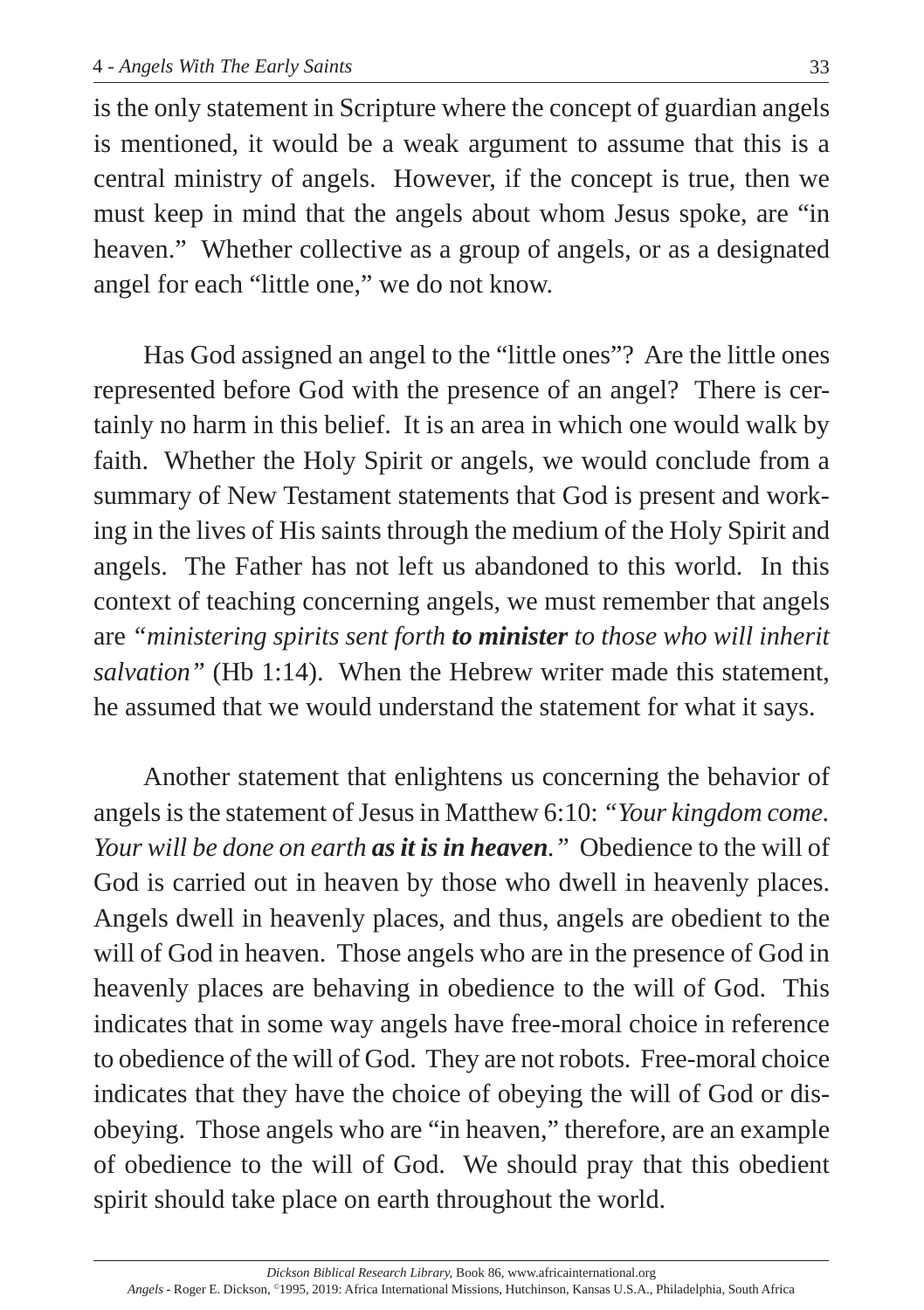is the only statement in Scripture where the concept of guardian angels is mentioned, it would be a weak argument to assume that this is a central ministry of angels. However, if the concept is true, then we must keep in mind that the angels about whom Jesus spoke, are "in heaven." Whether collective as a group of angels, or as a designated angel for each "little one," we do not know.

Has God assigned an angel to the "little ones"? Are the little ones represented before God with the presence of an angel? There is certainly no harm in this belief. It is an area in which one would walk by faith. Whether the Holy Spirit or angels, we would conclude from a summary of New Testament statements that God is present and working in the lives of His saints through the medium of the Holy Spirit and angels. The Father has not left us abandoned to this world. In this context of teaching concerning angels, we must remember that angels are *"ministering spirits sent forth to minister to those who will inherit salvation"* (Hb 1:14). When the Hebrew writer made this statement, he assumed that we would understand the statement for what it says.

Another statement that enlightens us concerning the behavior of angels is the statement of Jesus in Matthew 6:10: *"Your kingdom come. Your will be done on earth as it is in heaven."* Obedience to the will of God is carried out in heaven by those who dwell in heavenly places. Angels dwell in heavenly places, and thus, angels are obedient to the will of God in heaven. Those angels who are in the presence of God in heavenly places are behaving in obedience to the will of God. This indicates that in some way angels have free-moral choice in reference to obedience of the will of God. They are not robots. Free-moral choice indicates that they have the choice of obeying the will of God or disobeying. Those angels who are "in heaven," therefore, are an example of obedience to the will of God. We should pray that this obedient spirit should take place on earth throughout the world.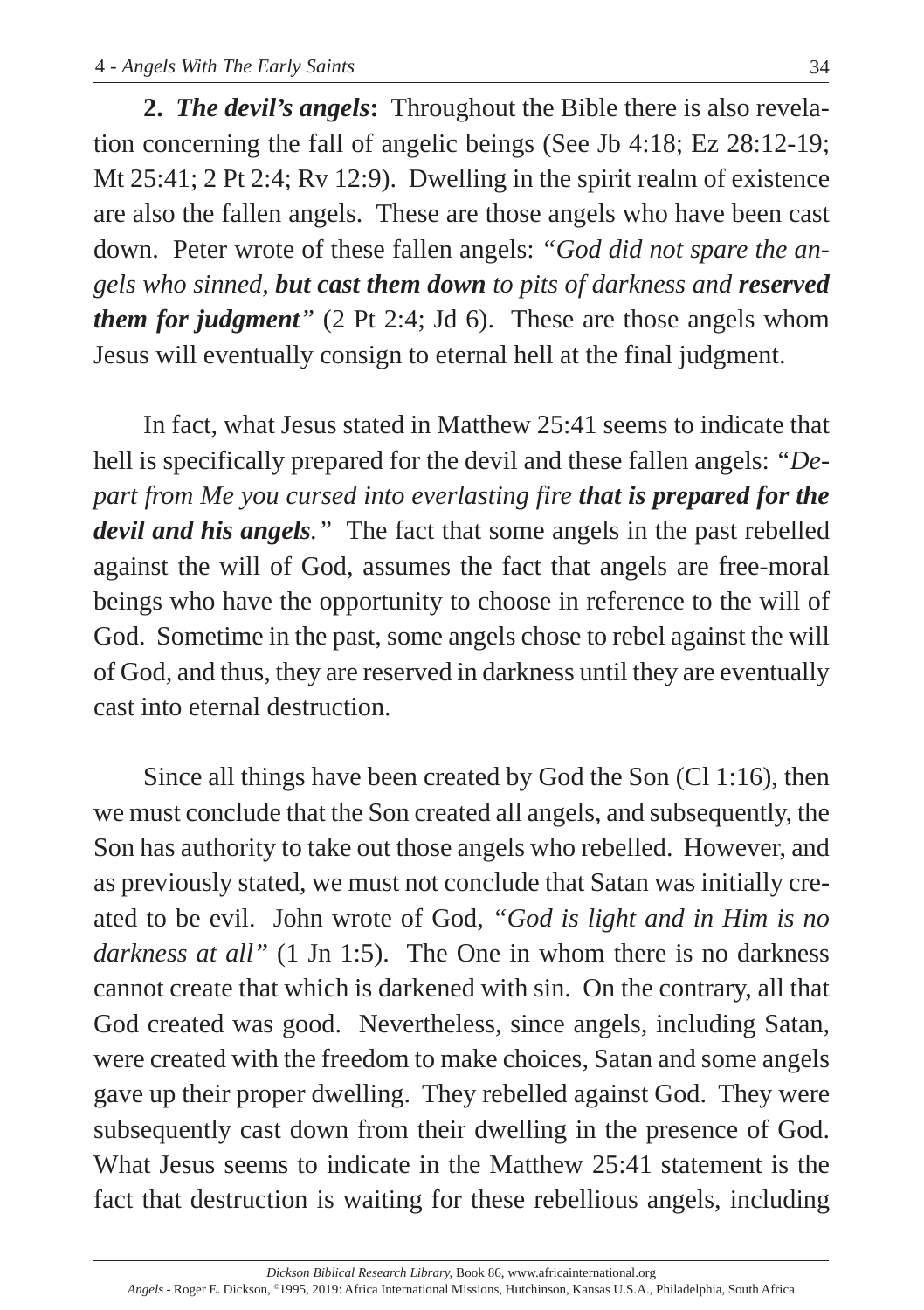**2.** *The devil's angels***:** Throughout the Bible there is also revelation concerning the fall of angelic beings (See Jb 4:18; Ez 28:12-19; Mt 25:41; 2 Pt 2:4; Rv 12:9). Dwelling in the spirit realm of existence are also the fallen angels. These are those angels who have been cast down. Peter wrote of these fallen angels: *"God did not spare the angels who sinned, but cast them down to pits of darkness and reserved them for judgment*<sup>*"*</sup> (2 Pt 2:4; Jd 6). These are those angels whom Jesus will eventually consign to eternal hell at the final judgment.

In fact, what Jesus stated in Matthew 25:41 seems to indicate that hell is specifically prepared for the devil and these fallen angels: *"Depart from Me you cursed into everlasting fire that is prepared for the devil and his angels."* The fact that some angels in the past rebelled against the will of God, assumes the fact that angels are free-moral beings who have the opportunity to choose in reference to the will of God. Sometime in the past, some angels chose to rebel against the will of God, and thus, they are reserved in darkness until they are eventually cast into eternal destruction.

Since all things have been created by God the Son (Cl 1:16), then we must conclude that the Son created all angels, and subsequently, the Son has authority to take out those angels who rebelled. However, and as previously stated, we must not conclude that Satan was initially created to be evil. John wrote of God, *"God is light and in Him is no darkness at all"* (1 Jn 1:5). The One in whom there is no darkness cannot create that which is darkened with sin. On the contrary, all that God created was good. Nevertheless, since angels, including Satan, were created with the freedom to make choices, Satan and some angels gave up their proper dwelling. They rebelled against God. They were subsequently cast down from their dwelling in the presence of God. What Jesus seems to indicate in the Matthew 25:41 statement is the fact that destruction is waiting for these rebellious angels, including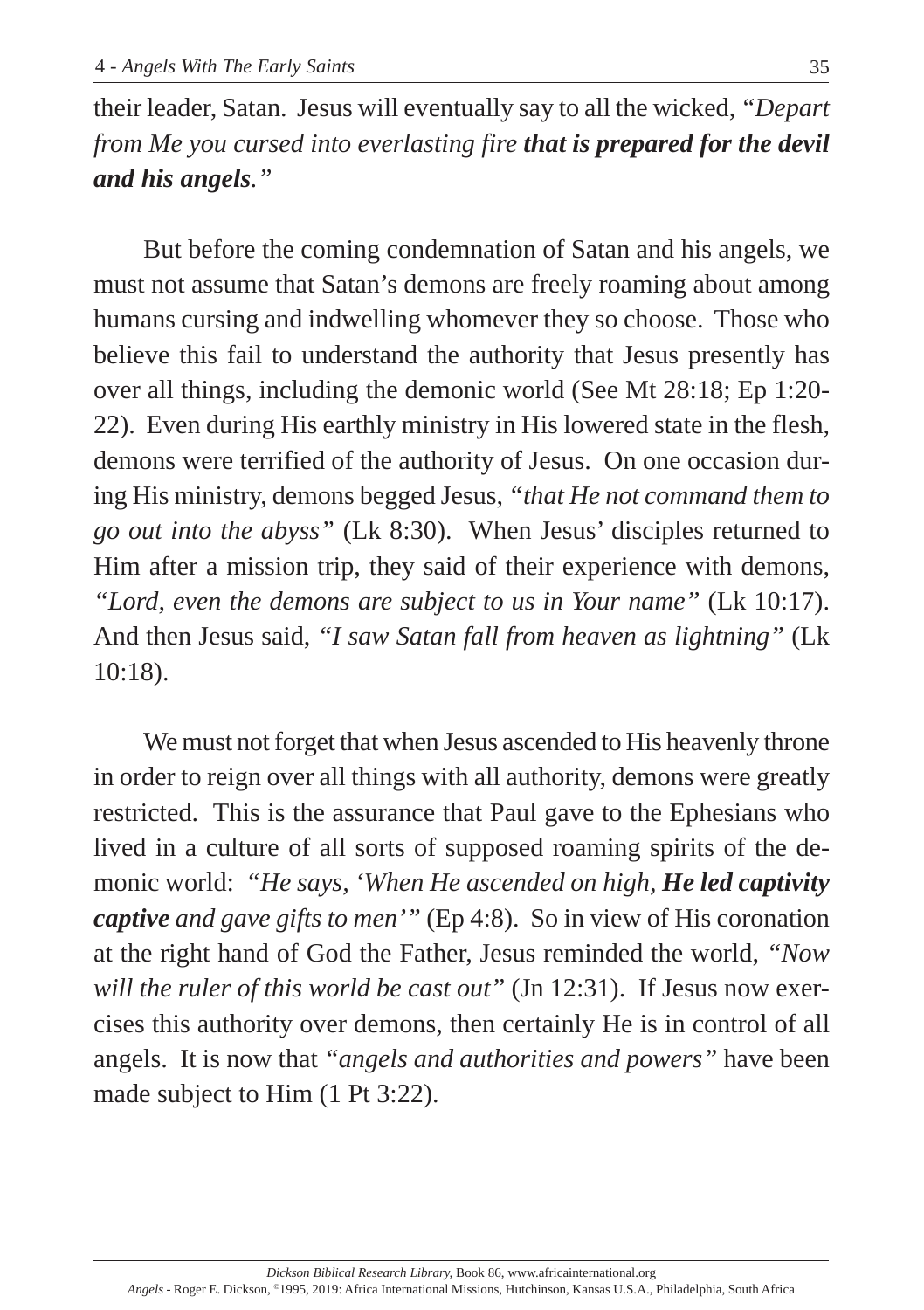their leader, Satan. Jesus will eventually say to all the wicked, *"Depart from Me you cursed into everlasting fire that is prepared for the devil and his angels."*

But before the coming condemnation of Satan and his angels, we must not assume that Satan's demons are freely roaming about among humans cursing and indwelling whomever they so choose. Those who believe this fail to understand the authority that Jesus presently has over all things, including the demonic world (See Mt 28:18; Ep 1:20- 22). Even during His earthly ministry in His lowered state in the flesh, demons were terrified of the authority of Jesus. On one occasion during His ministry, demons begged Jesus, *"that He not command them to go out into the abyss"* (Lk 8:30). When Jesus' disciples returned to Him after a mission trip, they said of their experience with demons, *"Lord, even the demons are subject to us in Your name"* (Lk 10:17). And then Jesus said, *"I saw Satan fall from heaven as lightning"* (Lk 10:18).

We must not forget that when Jesus ascended to His heavenly throne in order to reign over all things with all authority, demons were greatly restricted. This is the assurance that Paul gave to the Ephesians who lived in a culture of all sorts of supposed roaming spirits of the demonic world: *"He says, 'When He ascended on high, He led captivity captive and gave gifts to men'"* (Ep 4:8). So in view of His coronation at the right hand of God the Father, Jesus reminded the world, *"Now will the ruler of this world be cast out"* (Jn 12:31). If Jesus now exercises this authority over demons, then certainly He is in control of all angels. It is now that *"angels and authorities and powers"* have been made subject to Him (1 Pt 3:22).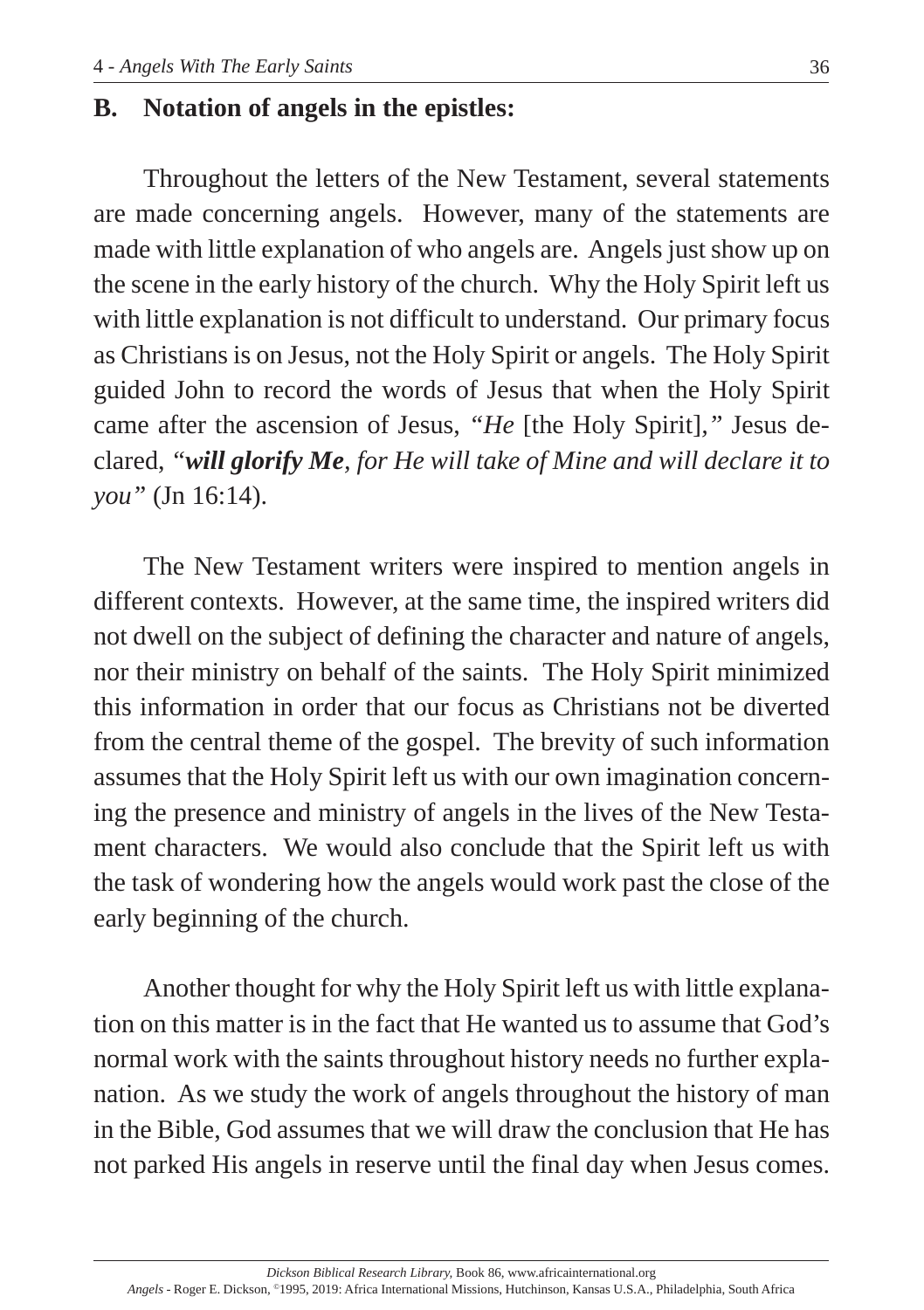# **B. Notation of angels in the epistles:**

Throughout the letters of the New Testament, several statements are made concerning angels. However, many of the statements are made with little explanation of who angels are. Angels just show up on the scene in the early history of the church. Why the Holy Spirit left us with little explanation is not difficult to understand. Our primary focus as Christians is on Jesus, not the Holy Spirit or angels. The Holy Spirit guided John to record the words of Jesus that when the Holy Spirit came after the ascension of Jesus, *"He* [the Holy Spirit]*,"* Jesus declared, *"will glorify Me, for He will take of Mine and will declare it to you"* (Jn 16:14).

The New Testament writers were inspired to mention angels in different contexts. However, at the same time, the inspired writers did not dwell on the subject of defining the character and nature of angels, nor their ministry on behalf of the saints. The Holy Spirit minimized this information in order that our focus as Christians not be diverted from the central theme of the gospel. The brevity of such information assumes that the Holy Spirit left us with our own imagination concerning the presence and ministry of angels in the lives of the New Testament characters. We would also conclude that the Spirit left us with the task of wondering how the angels would work past the close of the early beginning of the church.

Another thought for why the Holy Spirit left us with little explanation on this matter is in the fact that He wanted us to assume that God's normal work with the saints throughout history needs no further explanation. As we study the work of angels throughout the history of man in the Bible, God assumes that we will draw the conclusion that He has not parked His angels in reserve until the final day when Jesus comes.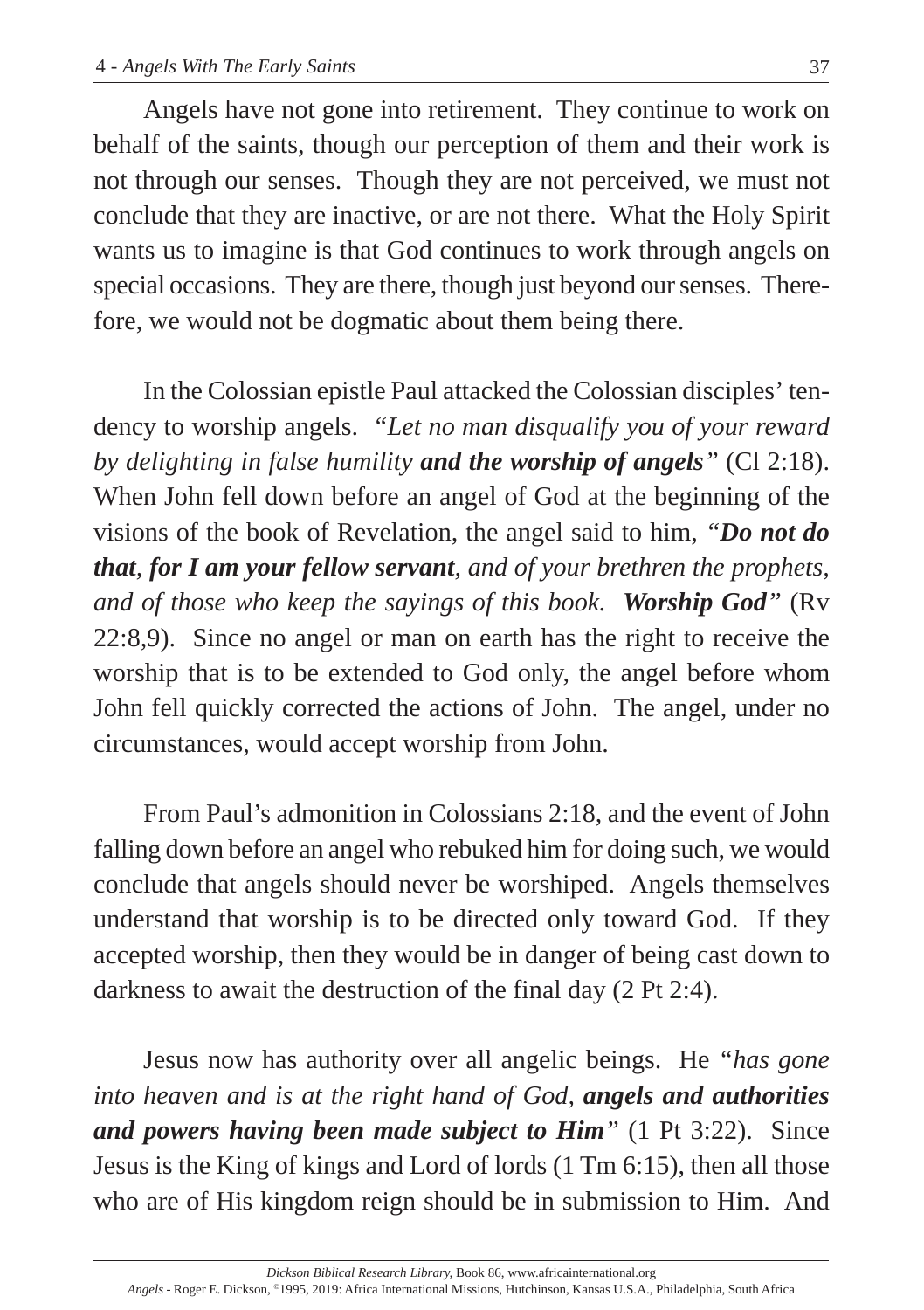Angels have not gone into retirement. They continue to work on behalf of the saints, though our perception of them and their work is not through our senses. Though they are not perceived, we must not conclude that they are inactive, or are not there. What the Holy Spirit wants us to imagine is that God continues to work through angels on special occasions. They are there, though just beyond our senses. Therefore, we would not be dogmatic about them being there.

In the Colossian epistle Paul attacked the Colossian disciples' tendency to worship angels. *"Let no man disqualify you of your reward by delighting in false humility and the worship of angels"* (Cl 2:18). When John fell down before an angel of God at the beginning of the visions of the book of Revelation, the angel said to him, *"Do not do that, for I am your fellow servant, and of your brethren the prophets, and of those who keep the sayings of this book. Worship God"* (Rv 22:8,9). Since no angel or man on earth has the right to receive the worship that is to be extended to God only, the angel before whom John fell quickly corrected the actions of John. The angel, under no circumstances, would accept worship from John.

From Paul's admonition in Colossians 2:18, and the event of John falling down before an angel who rebuked him for doing such, we would conclude that angels should never be worshiped. Angels themselves understand that worship is to be directed only toward God. If they accepted worship, then they would be in danger of being cast down to darkness to await the destruction of the final day (2 Pt 2:4).

Jesus now has authority over all angelic beings. He *"has gone into heaven and is at the right hand of God, angels and authorities and powers having been made subject to Him"* (1 Pt 3:22). Since Jesus is the King of kings and Lord of lords (1 Tm 6:15), then all those who are of His kingdom reign should be in submission to Him. And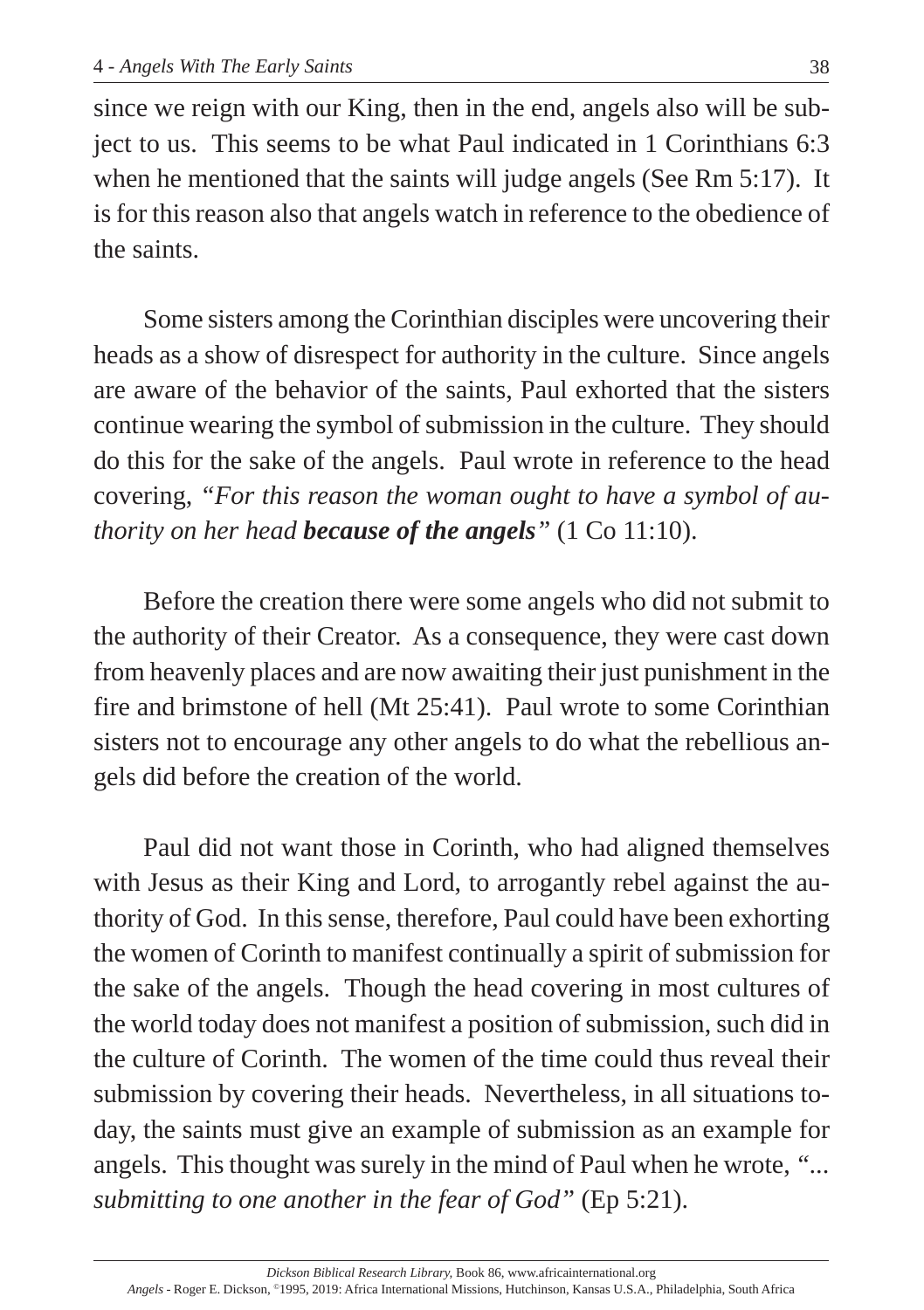since we reign with our King, then in the end, angels also will be subject to us. This seems to be what Paul indicated in 1 Corinthians 6:3 when he mentioned that the saints will judge angels (See Rm 5:17). It is for this reason also that angels watch in reference to the obedience of the saints.

Some sisters among the Corinthian disciples were uncovering their heads as a show of disrespect for authority in the culture. Since angels are aware of the behavior of the saints, Paul exhorted that the sisters continue wearing the symbol of submission in the culture. They should do this for the sake of the angels. Paul wrote in reference to the head covering, *"For this reason the woman ought to have a symbol of authority on her head because of the angels"* (1 Co 11:10).

Before the creation there were some angels who did not submit to the authority of their Creator. As a consequence, they were cast down from heavenly places and are now awaiting their just punishment in the fire and brimstone of hell (Mt 25:41). Paul wrote to some Corinthian sisters not to encourage any other angels to do what the rebellious angels did before the creation of the world.

Paul did not want those in Corinth, who had aligned themselves with Jesus as their King and Lord, to arrogantly rebel against the authority of God. In this sense, therefore, Paul could have been exhorting the women of Corinth to manifest continually a spirit of submission for the sake of the angels. Though the head covering in most cultures of the world today does not manifest a position of submission, such did in the culture of Corinth. The women of the time could thus reveal their submission by covering their heads. Nevertheless, in all situations today, the saints must give an example of submission as an example for angels. This thought was surely in the mind of Paul when he wrote, *"... submitting to one another in the fear of God"* (Ep 5:21).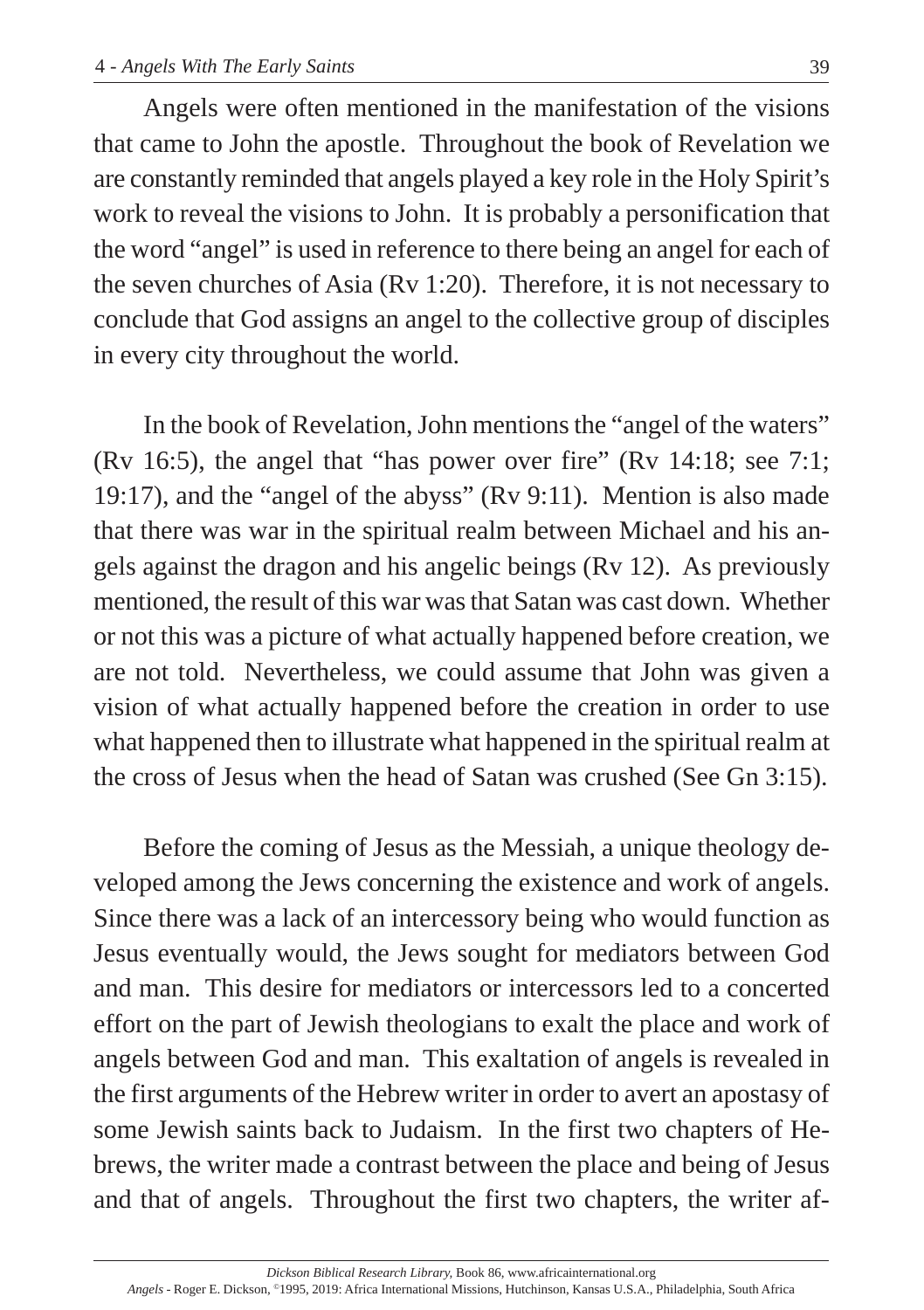Angels were often mentioned in the manifestation of the visions that came to John the apostle. Throughout the book of Revelation we are constantly reminded that angels played a key role in the Holy Spirit's work to reveal the visions to John. It is probably a personification that the word "angel" is used in reference to there being an angel for each of the seven churches of Asia (Rv 1:20). Therefore, it is not necessary to conclude that God assigns an angel to the collective group of disciples in every city throughout the world.

In the book of Revelation, John mentions the "angel of the waters" (Rv 16:5), the angel that "has power over fire" (Rv 14:18; see 7:1; 19:17), and the "angel of the abyss" (Rv 9:11). Mention is also made that there was war in the spiritual realm between Michael and his angels against the dragon and his angelic beings (Rv 12). As previously mentioned, the result of this war was that Satan was cast down. Whether or not this was a picture of what actually happened before creation, we are not told. Nevertheless, we could assume that John was given a vision of what actually happened before the creation in order to use what happened then to illustrate what happened in the spiritual realm at the cross of Jesus when the head of Satan was crushed (See Gn 3:15).

Before the coming of Jesus as the Messiah, a unique theology developed among the Jews concerning the existence and work of angels. Since there was a lack of an intercessory being who would function as Jesus eventually would, the Jews sought for mediators between God and man. This desire for mediators or intercessors led to a concerted effort on the part of Jewish theologians to exalt the place and work of angels between God and man. This exaltation of angels is revealed in the first arguments of the Hebrew writer in order to avert an apostasy of some Jewish saints back to Judaism. In the first two chapters of Hebrews, the writer made a contrast between the place and being of Jesus and that of angels. Throughout the first two chapters, the writer af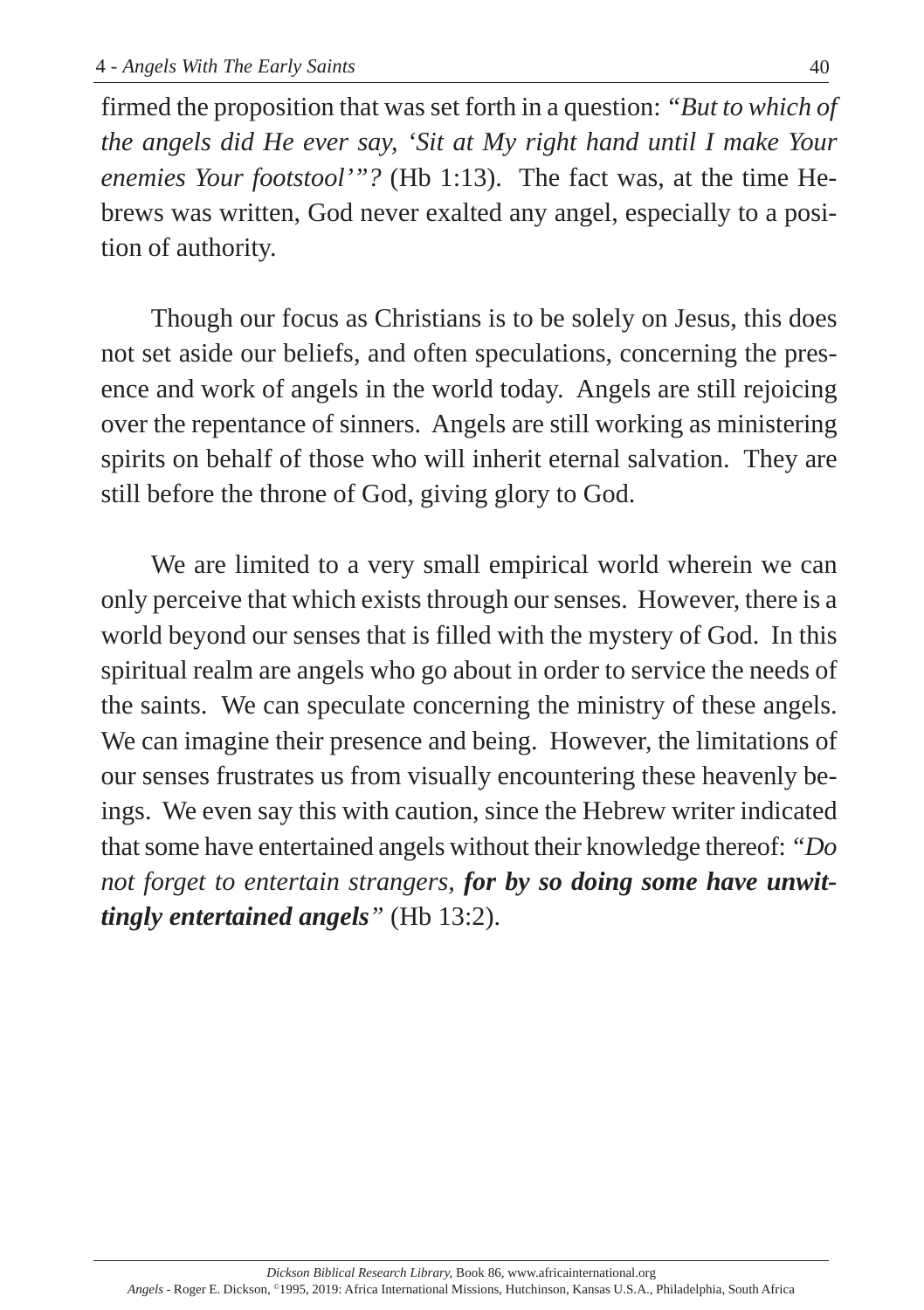firmed the proposition that was set forth in a question: *"But to which of the angels did He ever say, 'Sit at My right hand until I make Your enemies Your footstool'"?* (Hb 1:13). The fact was, at the time Hebrews was written, God never exalted any angel, especially to a position of authority.

Though our focus as Christians is to be solely on Jesus, this does not set aside our beliefs, and often speculations, concerning the presence and work of angels in the world today. Angels are still rejoicing over the repentance of sinners. Angels are still working as ministering spirits on behalf of those who will inherit eternal salvation. They are still before the throne of God, giving glory to God.

We are limited to a very small empirical world wherein we can only perceive that which exists through our senses. However, there is a world beyond our senses that is filled with the mystery of God. In this spiritual realm are angels who go about in order to service the needs of the saints. We can speculate concerning the ministry of these angels. We can imagine their presence and being. However, the limitations of our senses frustrates us from visually encountering these heavenly beings. We even say this with caution, since the Hebrew writer indicated that some have entertained angels without their knowledge thereof: *"Do not forget to entertain strangers, for by so doing some have unwittingly entertained angels"* (Hb 13:2).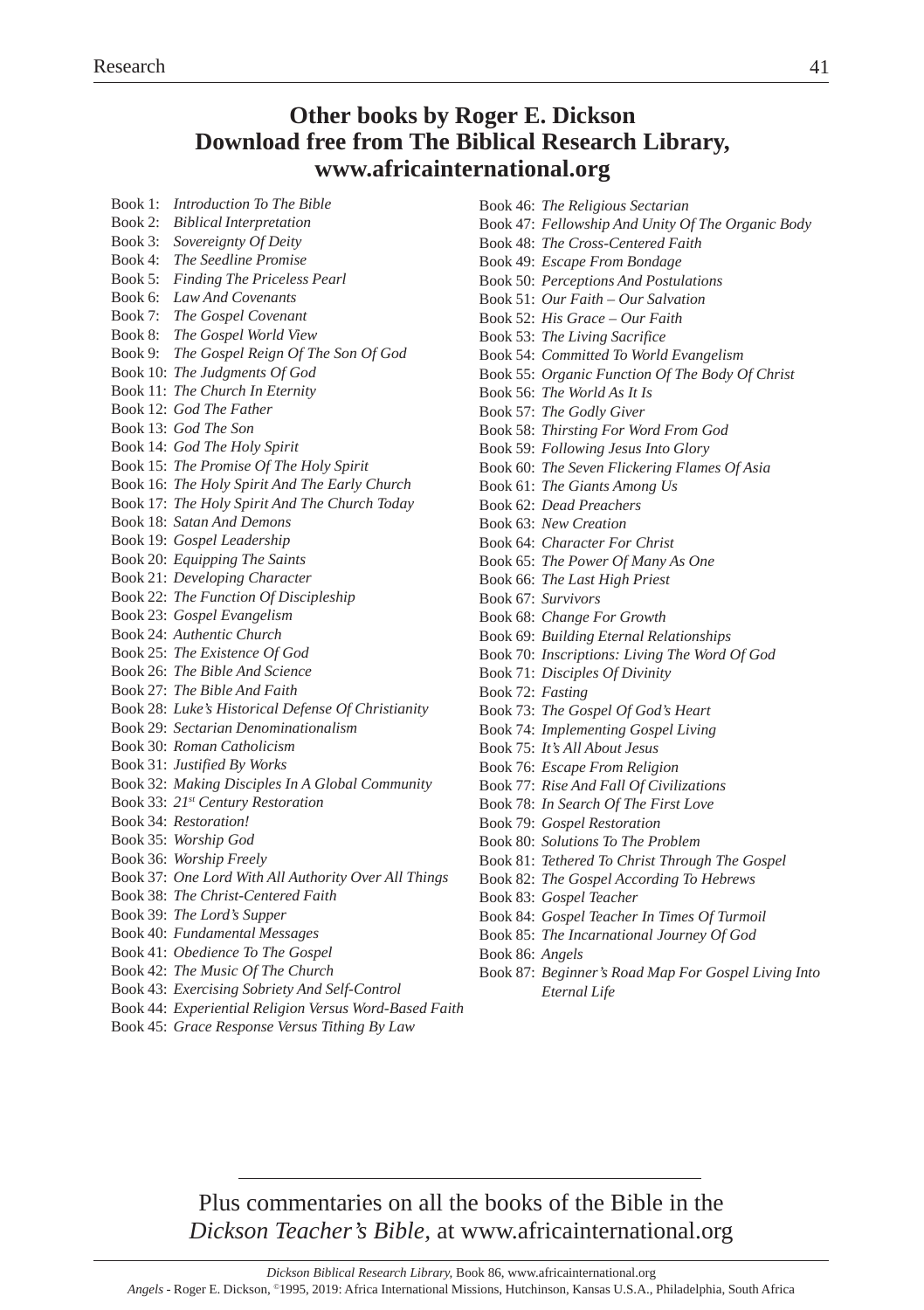#### **Other books by Roger E. Dickson Download free from The Biblical Research Library, www.africainternational.org**

| Book 1: Introduction To The Bible                                           |
|-----------------------------------------------------------------------------|
| Book 2: Biblical Interpretation                                             |
| Book 3: Sovereignty Of Deity                                                |
| Book 4: The Seedline Promise                                                |
| Book 5: Finding The Priceless Pearl                                         |
| Book 6: Law And Covenants                                                   |
| Book 7: The Gospel Covenant                                                 |
| Book 8: The Gospel World View<br>Book 9: The Gospel Reign Of The Son Of God |
|                                                                             |
| Book 10: The Judgments Of God                                               |
| Book 11: The Church In Eternity                                             |
| Book 12: God The Father                                                     |
| Book 13: God The Son                                                        |
| Book 14: God The Holy Spirit                                                |
| Book 15: The Promise Of The Holy Spirit                                     |
| Book 16: The Holy Spirit And The Early Church                               |
| Book 17: The Holy Spirit And The Church Today                               |
| Book 18: Satan And Demons                                                   |
| Book 19: Gospel Leadership                                                  |
| Book 20: Equipping The Saints                                               |
| Book 21: Developing Character                                               |
| Book 22: The Function Of Discipleship                                       |
| Book 23: Gospel Evangelism                                                  |
| Book 24: Authentic Church                                                   |
| Book 25: The Existence Of God                                               |
| Book 26: The Bible And Science                                              |
| Book 27: The Bible And Faith                                                |
| Book 28: Luke's Historical Defense Of Christianity                          |
| Book 29: Sectarian Denominationalism                                        |
| Book 30: Roman Catholicism                                                  |
| Book 31: Justified By Works                                                 |
| Book 32: Making Disciples In A Global Community                             |
| Book 33: 21st Century Restoration                                           |
| Book 34: Restoration!                                                       |
| Book 35: Worship God                                                        |
| Book 36: Worship Freely                                                     |
| Book 37: One Lord With All Authority Over All Things                        |
| Book 38: The Christ-Centered Faith                                          |
| Book 39: The Lord's Supper                                                  |
| Book 40: Fundamental Messages                                               |
| Book 41: Obedience To The Gospel                                            |
| Book 42: The Music Of The Church                                            |
| Book 43: Exercising Sobriety And Self-Control                               |
| <b>Dook 44: Expanimized Polician Varous Word, Pasad Eq.</b>                 |

- Book 44: *Experiential Religion Versus Word-Based Faith*
- Book 45: *Grace Response Versus Tithing By Law*

|                  | Book 46: The Religious Sectarian                    |
|------------------|-----------------------------------------------------|
|                  | Book 47: Fellowship And Unity Of The Organic Body   |
|                  | Book 48: The Cross-Centered Faith                   |
|                  | Book 49: Escape From Bondage                        |
|                  | Book 50: Perceptions And Postulations               |
|                  | Book 51: Our Faith - Our Salvation                  |
|                  | Book 52: His Grace - Our Faith                      |
|                  | Book 53: The Living Sacrifice                       |
|                  | Book 54: Committed To World Evangelism              |
|                  | Book 55: Organic Function Of The Body Of Christ     |
|                  | Book 56: The World As It Is                         |
|                  | Book 57: The Godly Giver                            |
|                  | Book 58: Thirsting For Word From God                |
|                  | Book 59: Following Jesus Into Glory                 |
|                  | Book 60: The Seven Flickering Flames Of Asia        |
|                  | Book 61: The Giants Among Us                        |
|                  | Book 62: Dead Preachers                             |
|                  | Book 63: New Creation                               |
|                  | Book 64: Character For Christ                       |
|                  | Book 65: The Power Of Many As One                   |
|                  | Book 66: The Last High Priest                       |
|                  | Book 67: Survivors                                  |
|                  | Book 68: Change For Growth                          |
|                  | Book 69: Building Eternal Relationships             |
|                  | Book 70: Inscriptions: Living The Word Of God       |
|                  | Book 71: Disciples Of Divinity                      |
| Book 72: Fasting |                                                     |
|                  | Book 73: The Gospel Of God's Heart                  |
|                  | Book 74: Implementing Gospel Living                 |
|                  | Book 75: It's All About Jesus                       |
|                  | Book 76: Escape From Religion                       |
|                  | Book 77: Rise And Fall Of Civilizations             |
|                  | Book 78: In Search Of The First Love                |
|                  | Book 79: Gospel Restoration                         |
|                  | Book 80: Solutions To The Problem                   |
|                  | Book 81: Tethered To Christ Through The Gospel      |
|                  | Book 82: The Gospel According To Hebrews            |
|                  | Book 83: Gospel Teacher                             |
|                  | Book 84: Gospel Teacher In Times Of Turmoil         |
|                  | Book 85: The Incarnational Journey Of God           |
| Book 86: Angels  |                                                     |
|                  | Book 87: Beginner's Road Map For Gospel Living Into |
|                  | Eternal Life                                        |

Plus commentaries on all the books of the Bible in the *Dickson Teacher's Bible,* at www.africainternational.org

*Angels* - Roger E. Dickson, ©1995, 2019: Africa International Missions, Hutchinson, Kansas U.S.A., Philadelphia, South Africa